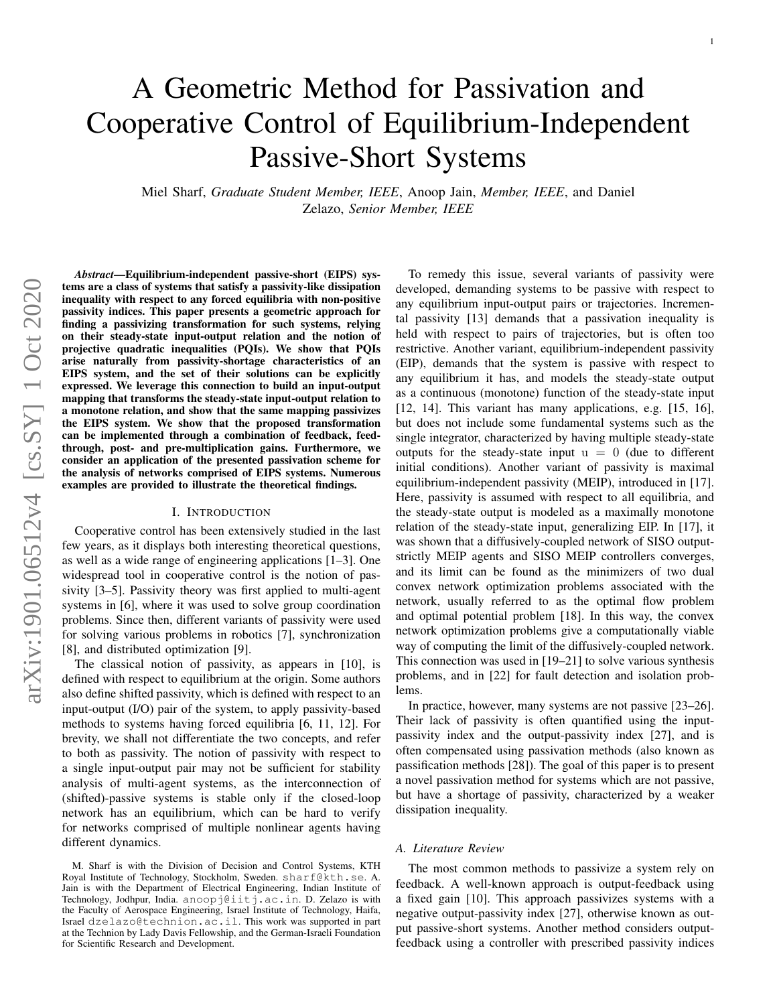# A Geometric Method for Passivation and Cooperative Control of Equilibrium-Independent Passive-Short Systems

Miel Sharf, *Graduate Student Member, IEEE*, Anoop Jain, *Member, IEEE*, and Daniel Zelazo, *Senior Member, IEEE*

*Abstract*—Equilibrium-independent passive-short (EIPS) systems are a class of systems that satisfy a passivity-like dissipation inequality with respect to any forced equilibria with non-positive passivity indices. This paper presents a geometric approach for finding a passivizing transformation for such systems, relying on their steady-state input-output relation and the notion of projective quadratic inequalities (PQIs). We show that PQIs arise naturally from passivity-shortage characteristics of an EIPS system, and the set of their solutions can be explicitly expressed. We leverage this connection to build an input-output mapping that transforms the steady-state input-output relation to a monotone relation, and show that the same mapping passivizes the EIPS system. We show that the proposed transformation can be implemented through a combination of feedback, feedthrough, post- and pre-multiplication gains. Furthermore, we consider an application of the presented passivation scheme for the analysis of networks comprised of EIPS systems. Numerous examples are provided to illustrate the theoretical findings.

#### I. INTRODUCTION

Cooperative control has been extensively studied in the last few years, as it displays both interesting theoretical questions, as well as a wide range of engineering applications [1–3]. One widespread tool in cooperative control is the notion of passivity [3–5]. Passivity theory was first applied to multi-agent systems in [6], where it was used to solve group coordination problems. Since then, different variants of passivity were used for solving various problems in robotics [7], synchronization [8], and distributed optimization [9].

The classical notion of passivity, as appears in [10], is defined with respect to equilibrium at the origin. Some authors also define shifted passivity, which is defined with respect to an input-output (I/O) pair of the system, to apply passivity-based methods to systems having forced equilibria [6, 11, 12]. For brevity, we shall not differentiate the two concepts, and refer to both as passivity. The notion of passivity with respect to a single input-output pair may not be sufficient for stability analysis of multi-agent systems, as the interconnection of (shifted)-passive systems is stable only if the closed-loop network has an equilibrium, which can be hard to verify for networks comprised of multiple nonlinear agents having different dynamics.

To remedy this issue, several variants of passivity were developed, demanding systems to be passive with respect to any equilibrium input-output pairs or trajectories. Incremental passivity [13] demands that a passivation inequality is held with respect to pairs of trajectories, but is often too restrictive. Another variant, equilibrium-independent passivity (EIP), demands that the system is passive with respect to any equilibrium it has, and models the steady-state output as a continuous (monotone) function of the steady-state input [12, 14]. This variant has many applications, e.g. [15, 16], but does not include some fundamental systems such as the single integrator, characterized by having multiple steady-state outputs for the steady-state input  $u = 0$  (due to different initial conditions). Another variant of passivity is maximal equilibrium-independent passivity (MEIP), introduced in [17]. Here, passivity is assumed with respect to all equilibria, and the steady-state output is modeled as a maximally monotone relation of the steady-state input, generalizing EIP. In [17], it was shown that a diffusively-coupled network of SISO outputstrictly MEIP agents and SISO MEIP controllers converges, and its limit can be found as the minimizers of two dual convex network optimization problems associated with the network, usually referred to as the optimal flow problem and optimal potential problem [18]. In this way, the convex network optimization problems give a computationally viable way of computing the limit of the diffusively-coupled network. This connection was used in [19–21] to solve various synthesis problems, and in [22] for fault detection and isolation problems.

In practice, however, many systems are not passive [23–26]. Their lack of passivity is often quantified using the inputpassivity index and the output-passivity index [27], and is often compensated using passivation methods (also known as passification methods [28]). The goal of this paper is to present a novel passivation method for systems which are not passive, but have a shortage of passivity, characterized by a weaker dissipation inequality.

#### *A. Literature Review*

The most common methods to passivize a system rely on feedback. A well-known approach is output-feedback using a fixed gain [10]. This approach passivizes systems with a negative output-passivity index [27], otherwise known as output passive-short systems. Another method considers outputfeedback using a controller with prescribed passivity indices

M. Sharf is with the Division of Decision and Control Systems, KTH Royal Institute of Technology, Stockholm, Sweden. sharf@kth.se. A. Jain is with the Department of Electrical Engineering, Indian Institute of Technology, Jodhpur, India. anoopj@iitj.ac.in. D. Zelazo is with the Faculty of Aerospace Engineering, Israel Institute of Technology, Haifa, Israel dzelazo@technion.ac.il. This work was supported in part at the Technion by Lady Davis Fellowship, and the German-Israeli Foundation for Scientific Research and Development.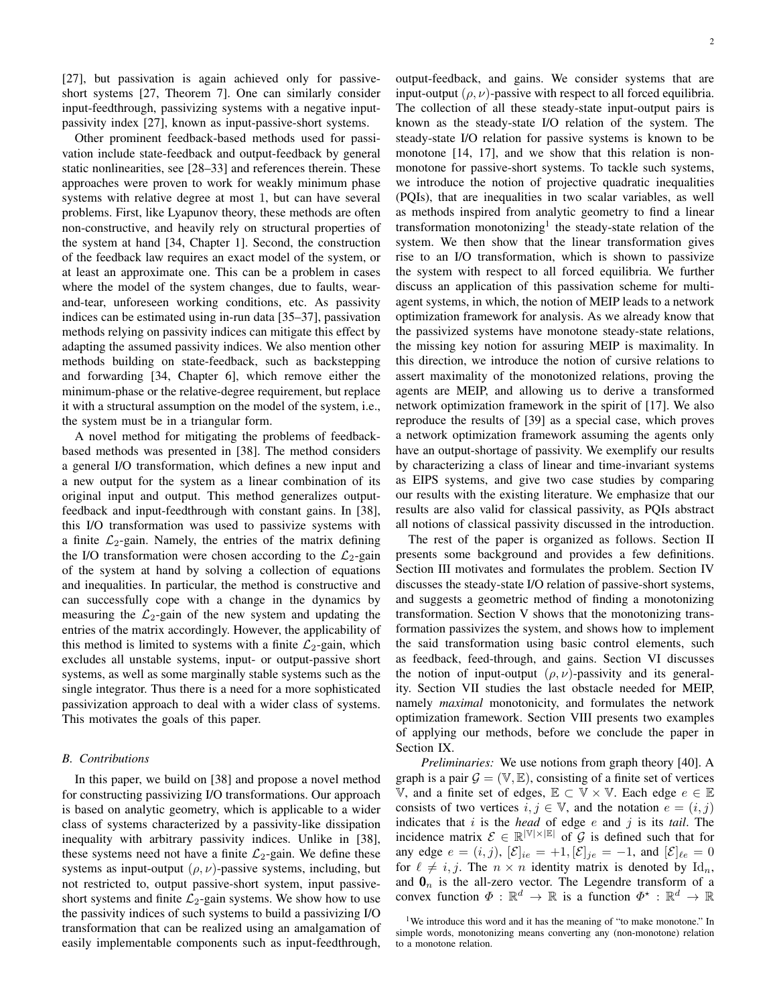[27], but passivation is again achieved only for passiveshort systems [27, Theorem 7]. One can similarly consider input-feedthrough, passivizing systems with a negative inputpassivity index [27], known as input-passive-short systems.

Other prominent feedback-based methods used for passivation include state-feedback and output-feedback by general static nonlinearities, see [28–33] and references therein. These approaches were proven to work for weakly minimum phase systems with relative degree at most 1, but can have several problems. First, like Lyapunov theory, these methods are often non-constructive, and heavily rely on structural properties of the system at hand [34, Chapter 1]. Second, the construction of the feedback law requires an exact model of the system, or at least an approximate one. This can be a problem in cases where the model of the system changes, due to faults, wearand-tear, unforeseen working conditions, etc. As passivity indices can be estimated using in-run data [35–37], passivation methods relying on passivity indices can mitigate this effect by adapting the assumed passivity indices. We also mention other methods building on state-feedback, such as backstepping and forwarding [34, Chapter 6], which remove either the minimum-phase or the relative-degree requirement, but replace it with a structural assumption on the model of the system, i.e., the system must be in a triangular form.

A novel method for mitigating the problems of feedbackbased methods was presented in [38]. The method considers a general I/O transformation, which defines a new input and a new output for the system as a linear combination of its original input and output. This method generalizes outputfeedback and input-feedthrough with constant gains. In [38], this I/O transformation was used to passivize systems with a finite  $\mathcal{L}_2$ -gain. Namely, the entries of the matrix defining the I/O transformation were chosen according to the  $\mathcal{L}_2$ -gain of the system at hand by solving a collection of equations and inequalities. In particular, the method is constructive and can successfully cope with a change in the dynamics by measuring the  $\mathcal{L}_2$ -gain of the new system and updating the entries of the matrix accordingly. However, the applicability of this method is limited to systems with a finite  $\mathcal{L}_2$ -gain, which excludes all unstable systems, input- or output-passive short systems, as well as some marginally stable systems such as the single integrator. Thus there is a need for a more sophisticated passivization approach to deal with a wider class of systems. This motivates the goals of this paper.

#### *B. Contributions*

In this paper, we build on [38] and propose a novel method for constructing passivizing I/O transformations. Our approach is based on analytic geometry, which is applicable to a wider class of systems characterized by a passivity-like dissipation inequality with arbitrary passivity indices. Unlike in [38], these systems need not have a finite  $\mathcal{L}_2$ -gain. We define these systems as input-output  $(\rho, \nu)$ -passive systems, including, but not restricted to, output passive-short system, input passiveshort systems and finite  $\mathcal{L}_2$ -gain systems. We show how to use the passivity indices of such systems to build a passivizing I/O transformation that can be realized using an amalgamation of easily implementable components such as input-feedthrough,

output-feedback, and gains. We consider systems that are input-output  $(\rho, \nu)$ -passive with respect to all forced equilibria. The collection of all these steady-state input-output pairs is known as the steady-state I/O relation of the system. The steady-state I/O relation for passive systems is known to be monotone [14, 17], and we show that this relation is nonmonotone for passive-short systems. To tackle such systems, we introduce the notion of projective quadratic inequalities (PQIs), that are inequalities in two scalar variables, as well as methods inspired from analytic geometry to find a linear transformation monotonizing<sup>1</sup> the steady-state relation of the system. We then show that the linear transformation gives rise to an I/O transformation, which is shown to passivize the system with respect to all forced equilibria. We further discuss an application of this passivation scheme for multiagent systems, in which, the notion of MEIP leads to a network optimization framework for analysis. As we already know that the passivized systems have monotone steady-state relations, the missing key notion for assuring MEIP is maximality. In this direction, we introduce the notion of cursive relations to assert maximality of the monotonized relations, proving the agents are MEIP, and allowing us to derive a transformed network optimization framework in the spirit of [17]. We also reproduce the results of [39] as a special case, which proves a network optimization framework assuming the agents only have an output-shortage of passivity. We exemplify our results by characterizing a class of linear and time-invariant systems as EIPS systems, and give two case studies by comparing our results with the existing literature. We emphasize that our results are also valid for classical passivity, as PQIs abstract all notions of classical passivity discussed in the introduction.

The rest of the paper is organized as follows. Section II presents some background and provides a few definitions. Section III motivates and formulates the problem. Section IV discusses the steady-state I/O relation of passive-short systems, and suggests a geometric method of finding a monotonizing transformation. Section V shows that the monotonizing transformation passivizes the system, and shows how to implement the said transformation using basic control elements, such as feedback, feed-through, and gains. Section VI discusses the notion of input-output  $(\rho, \nu)$ -passivity and its generality. Section VII studies the last obstacle needed for MEIP, namely *maximal* monotonicity, and formulates the network optimization framework. Section VIII presents two examples of applying our methods, before we conclude the paper in Section IX.

*Preliminaries:* We use notions from graph theory [40]. A graph is a pair  $G = (\mathbb{V}, \mathbb{E})$ , consisting of a finite set of vertices V, and a finite set of edges,  $\mathbb{E} \subset \mathbb{V} \times \mathbb{V}$ . Each edge  $e \in \mathbb{E}$ consists of two vertices  $i, j \in \mathbb{V}$ , and the notation  $e = (i, j)$ indicates that i is the *head* of edge e and j is its *tail*. The incidence matrix  $\mathcal{E} \in \mathbb{R}^{|V| \times |E|}$  of  $\mathcal{G}$  is defined such that for any edge  $e = (i, j)$ ,  $[\mathcal{E}]_{ie} = +1$ ,  $[\mathcal{E}]_{je} = -1$ , and  $[\mathcal{E}]_{\ell e} = 0$ for  $\ell \neq i, j$ . The  $n \times n$  identity matrix is denoted by  $\mathrm{Id}_n$ , and  $\mathbf{0}_n$  is the all-zero vector. The Legendre transform of a convex function  $\Phi : \mathbb{R}^d \to \mathbb{R}$  is a function  $\Phi^* : \mathbb{R}^d \to \mathbb{R}$ 

<sup>&</sup>lt;sup>1</sup>We introduce this word and it has the meaning of "to make monotone." In simple words, monotonizing means converting any (non-monotone) relation to a monotone relation.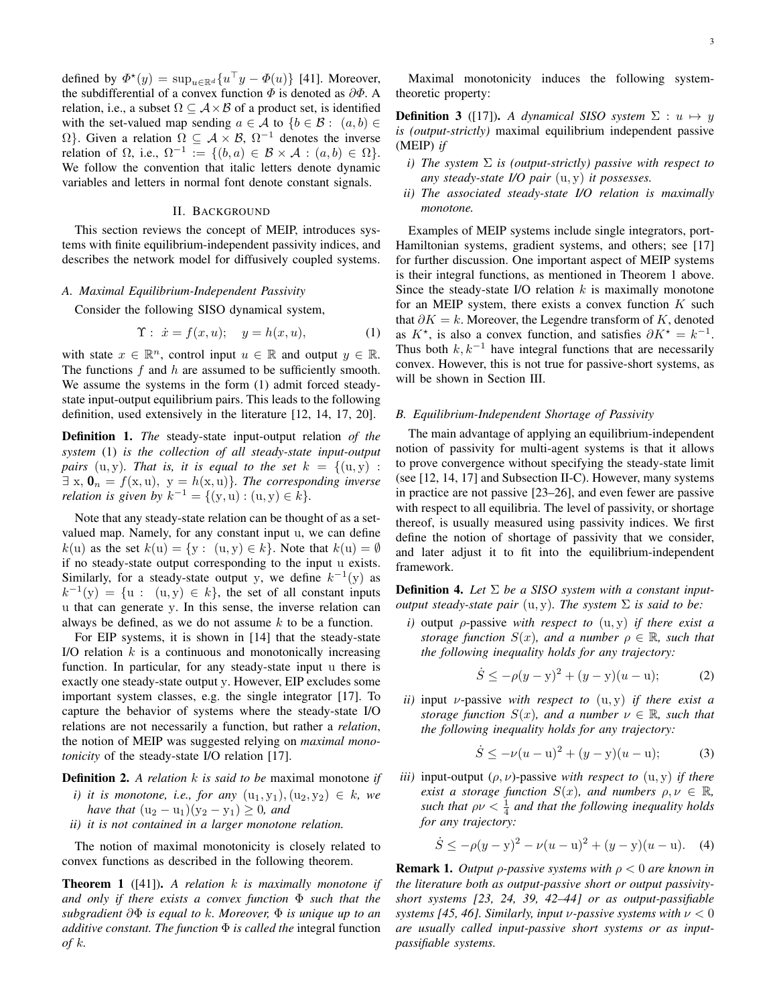defined by  $\Phi^*(y) = \sup_{u \in \mathbb{R}^d} \{u^\top y - \Phi(u)\}$  [41]. Moreover, the subdifferential of a convex function  $\Phi$  is denoted as  $\partial \Phi$ . A relation, i.e., a subset  $\Omega \subseteq A \times B$  of a product set, is identified with the set-valued map sending  $a \in A$  to  $\{b \in B : (a, b) \in A\}$  $\Omega$ }. Given a relation  $\Omega \subseteq A \times B$ ,  $\Omega^{-1}$  denotes the inverse relation of  $\Omega$ , i.e.,  $\Omega^{-1} := \{ (b, a) \in \mathcal{B} \times \mathcal{A} : (a, b) \in \Omega \}.$ We follow the convention that italic letters denote dynamic variables and letters in normal font denote constant signals.

## II. BACKGROUND

This section reviews the concept of MEIP, introduces systems with finite equilibrium-independent passivity indices, and describes the network model for diffusively coupled systems.

## *A. Maximal Equilibrium-Independent Passivity*

Consider the following SISO dynamical system,

$$
\Upsilon: \dot{x} = f(x, u); \quad y = h(x, u), \tag{1}
$$

with state  $x \in \mathbb{R}^n$ , control input  $u \in \mathbb{R}$  and output  $y \in \mathbb{R}$ . The functions  $f$  and  $h$  are assumed to be sufficiently smooth. We assume the systems in the form (1) admit forced steadystate input-output equilibrium pairs. This leads to the following definition, used extensively in the literature [12, 14, 17, 20].

Definition 1. *The* steady-state input-output relation *of the system* (1) *is the collection of all steady-state input-output pairs* (u, y). That is, it is equal to the set  $k = \{(u, y) :$  $\exists x, \mathbf{0}_n = f(x, u), y = h(x, u)$ *. The corresponding inverse relation is given by*  $k^{-1} = \{(y, u) : (u, y) \in k\}.$ 

Note that any steady-state relation can be thought of as a setvalued map. Namely, for any constant input u, we can define  $k(u)$  as the set  $k(u) = \{y : (u, y) \in k\}$ . Note that  $k(u) = \emptyset$ if no steady-state output corresponding to the input u exists. Similarly, for a steady-state output y, we define  $k^{-1}(y)$  as  $k^{-1}(y) = \{u : (u, y) \in k\}$ , the set of all constant inputs u that can generate y. In this sense, the inverse relation can always be defined, as we do not assume  $k$  to be a function.

For EIP systems, it is shown in [14] that the steady-state I/O relation  $k$  is a continuous and monotonically increasing function. In particular, for any steady-state input u there is exactly one steady-state output y. However, EIP excludes some important system classes, e.g. the single integrator [17]. To capture the behavior of systems where the steady-state I/O relations are not necessarily a function, but rather a *relation*, the notion of MEIP was suggested relying on *maximal monotonicity* of the steady-state I/O relation [17].

Definition 2. *A relation* k *is said to be* maximal monotone *if*

- *i)* it is monotone, i.e., for any  $(u_1, y_1), (u_2, y_2) \in k$ , we *have that*  $(u_2 - u_1)(y_2 - y_1) \geq 0$ *, and*
- *ii) it is not contained in a larger monotone relation.*

The notion of maximal monotonicity is closely related to convex functions as described in the following theorem.

Theorem 1 ([41]). *A relation* k *is maximally monotone if and only if there exists a convex function* Φ *such that the subgradient* ∂Φ *is equal to* k*. Moreover,* Φ *is unique up to an additive constant. The function* Φ *is called the* integral function *of* k*.*

Maximal monotonicity induces the following systemtheoretic property:

**Definition 3** ([17]). *A dynamical SISO system*  $\Sigma: u \mapsto y$ *is (output-strictly)* maximal equilibrium independent passive (MEIP) *if*

- *i) The system* Σ *is (output-strictly) passive with respect to any steady-state I/O pair* (u, y) *it possesses.*
- *ii) The associated steady-state I/O relation is maximally monotone.*

Examples of MEIP systems include single integrators, port-Hamiltonian systems, gradient systems, and others; see [17] for further discussion. One important aspect of MEIP systems is their integral functions, as mentioned in Theorem 1 above. Since the steady-state I/O relation  $k$  is maximally monotone for an MEIP system, there exists a convex function  $K$  such that  $\partial K = k$ . Moreover, the Legendre transform of K, denoted as  $K^*$ , is also a convex function, and satisfies  $\partial K^* = k^{-1}$ . Thus both  $k, k^{-1}$  have integral functions that are necessarily convex. However, this is not true for passive-short systems, as will be shown in Section III.

#### *B. Equilibrium-Independent Shortage of Passivity*

The main advantage of applying an equilibrium-independent notion of passivity for multi-agent systems is that it allows to prove convergence without specifying the steady-state limit (see [12, 14, 17] and Subsection II-C). However, many systems in practice are not passive [23–26], and even fewer are passive with respect to all equilibria. The level of passivity, or shortage thereof, is usually measured using passivity indices. We first define the notion of shortage of passivity that we consider, and later adjust it to fit into the equilibrium-independent framework.

**Definition 4.** Let  $\Sigma$  be a SISO system with a constant input*output steady-state pair*  $(u, y)$ *. The system*  $\Sigma$  *is said to be:* 

*i)* output ρ-passive *with respect to* (u, y) *if there exist a storage function*  $S(x)$ *, and a number*  $\rho \in \mathbb{R}$ *, such that the following inequality holds for any trajectory:*

$$
\dot{S} \le -\rho(y - y)^2 + (y - y)(u - u); \tag{2}
$$

*ii)* input ν-passive *with respect to* (u, y) *if there exist a storage function*  $S(x)$ *, and a number*  $\nu \in \mathbb{R}$ *, such that the following inequality holds for any trajectory:*

$$
\dot{S} \le -\nu(u - u)^2 + (y - y)(u - u); \tag{3}
$$

*iii*) input-output  $(\rho, \nu)$ -passive *with respect to*  $(u, y)$  *if there exist a storage function*  $S(x)$ *, and numbers*  $\rho, \nu \in \mathbb{R}$ *, such that*  $\rho \nu < \frac{1}{4}$  and that the following inequality holds *for any trajectory:*

$$
\dot{S} \le -\rho(y - y)^2 - \nu(u - u)^2 + (y - y)(u - u). \quad (4)
$$

Remark 1. *Output* ρ*-passive systems with* ρ < 0 *are known in the literature both as output-passive short or output passivityshort systems [23, 24, 39, 42–44] or as output-passifiable systems [45, 46]. Similarly, input v-passive systems with*  $\nu < 0$ *are usually called input-passive short systems or as inputpassifiable systems.*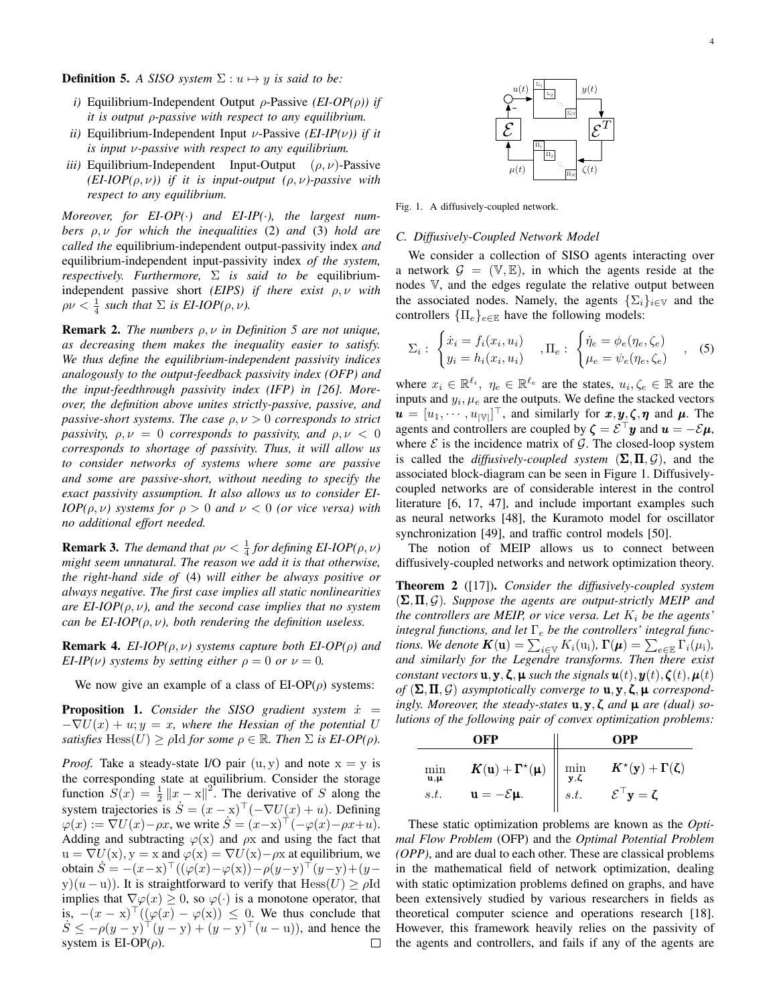**Definition 5.** *A SISO system*  $\Sigma: u \mapsto y$  *is said to be:* 

- *i)* Equilibrium-Independent Output ρ-Passive *(EI-OP(*ρ*)) if it is output* ρ*-passive with respect to any equilibrium.*
- *ii)* Equilibrium-Independent Input ν-Passive *(EI-IP(*ν*)) if it is input* ν*-passive with respect to any equilibrium.*
- *iii*) Equilibrium-Independent Input-Output  $(\rho, \nu)$ -Passive  $(EI-IOP(\rho, \nu))$  *if it is input-output*  $(\rho, \nu)$ -passive with *respect to any equilibrium.*

*Moreover, for EI-OP(*·*) and EI-IP(*·*), the largest numbers* ρ, ν *for which the inequalities* (2) *and* (3) *hold are called the* equilibrium-independent output-passivity index *and* equilibrium-independent input-passivity index *of the system, respectively. Furthermore,* Σ *is said to be* equilibriumindependent passive short *(EIPS) if there exist* ρ, ν *with*  $\rho \nu < \frac{1}{4}$  such that  $\Sigma$  is EI-IOP( $\rho, \nu$ ).

Remark 2. *The numbers* ρ, ν *in Definition 5 are not unique, as decreasing them makes the inequality easier to satisfy. We thus define the equilibrium-independent passivity indices analogously to the output-feedback passivity index (OFP) and the input-feedthrough passivity index (IFP) in [26]. Moreover, the definition above unites strictly-passive, passive, and passive-short systems. The case* ρ, ν > 0 *corresponds to strict passivity,*  $\rho, \nu = 0$  *corresponds to passivity, and*  $\rho, \nu < 0$ *corresponds to shortage of passivity. Thus, it will allow us to consider networks of systems where some are passive and some are passive-short, without needing to specify the exact passivity assumption. It also allows us to consider EI-IOP(* $\rho, \nu$ *)* systems for  $\rho > 0$  and  $\nu < 0$  (or vice versa) with *no additional effort needed.*

**Remark 3.** *The demand that*  $\rho \nu < \frac{1}{4}$  *for defining EI-IOP*( $\rho, \nu$ ) *might seem unnatural. The reason we add it is that otherwise, the right-hand side of* (4) *will either be always positive or always negative. The first case implies all static nonlinearities are EI-IOP(* $\rho, \nu$ *), and the second case implies that no system can be EI-IOP(* $\rho, \nu$ *), both rendering the definition useless.* 

Remark 4. *EI-IOP(*ρ, ν*) systems capture both EI-OP(*ρ*) and EI-IP(v)* systems by setting either  $\rho = 0$  or  $\nu = 0$ .

We now give an example of a class of  $E I-OP(\rho)$  systems:

**Proposition 1.** *Consider the SISO gradient system*  $\dot{x}$  =  $-\nabla U(x) + u; y = x$ , where the Hessian of the potential U *satisfies*  $\text{Hess}(U) \geq \rho \text{Id}$  *for some*  $\rho \in \mathbb{R}$ *. Then*  $\Sigma$  *is EI-OP(* $\rho$ *).* 

*Proof.* Take a steady-state I/O pair  $(u, y)$  and note  $x = y$  is the corresponding state at equilibrium. Consider the storage function  $S(x) = \frac{1}{2} ||x - x||^2$ . The derivative of S along the system trajectories is  $S = (x - x)^{\top}(-\nabla U(x) + u)$ . Defining  $\varphi(x) := \nabla U(x) - \rho x$ , we write  $S = (x-x)^{\top}(-\varphi(x) - \rho x + u)$ . Adding and subtracting  $\varphi(x)$  and  $\rho x$  and using the fact that  $u = \nabla U(x)$ ,  $y = x$  and  $\varphi(x) = \nabla U(x) - \rho x$  at equilibrium, we obtain  $\dot{S} = -(x-x)^{\top}((\varphi(x)-\varphi(x))-\rho(y-y)^{\top}(y-y)+(y-z)^{\top})$ y)(u – u)). It is straightforward to verify that  $Hess(U) \ge \rho Id$ implies that  $\nabla \varphi(x) \geq 0$ , so  $\varphi(\cdot)$  is a monotone operator, that is,  $-(x - x)^{\top}((\varphi(x) - \varphi(x)) \leq 0$ . We thus conclude that  $\dot{S} \le -\rho (y - y)^{\top} (y - y) + (y - y)^{\top} (u - u)$ , and hence the system is EI-OP( $\rho$ ). system is  $EI-OP(\rho)$ .



Fig. 1. A diffusively-coupled network.

## *C. Diffusively-Coupled Network Model*

We consider a collection of SISO agents interacting over a network  $\mathcal{G} = (\mathbb{V}, \mathbb{E})$ , in which the agents reside at the nodes V, and the edges regulate the relative output between the associated nodes. Namely, the agents  $\{\Sigma_i\}_{i\in\mathbb{V}}$  and the controllers  $\{\Pi_e\}_{e \in \mathbb{R}}$  have the following models:

$$
\Sigma_i: \begin{cases} \dot{x}_i = f_i(x_i, u_i) \\ y_i = h_i(x_i, u_i) \end{cases}, \Pi_e: \begin{cases} \dot{\eta}_e = \phi_e(\eta_e, \zeta_e) \\ \mu_e = \psi_e(\eta_e, \zeta_e) \end{cases}, \quad (5)
$$

where  $x_i \in \mathbb{R}^{\ell_i}$ ,  $\eta_e \in \mathbb{R}^{\ell_e}$  are the states,  $u_i, \zeta_e \in \mathbb{R}$  are the inputs and  $y_i$ ,  $\mu_e$  are the outputs. We define the stacked vectors  $\mathbf{u} = [u_1, \dots, u_{|\mathbb{V}|}]^\top$ , and similarly for  $\mathbf{x}, \mathbf{y}, \mathbf{\zeta}, \mathbf{\eta}$  and  $\mathbf{\mu}$ . The agents and controllers are coupled by  $\zeta = \mathcal{E}^{\dagger} y$  and  $u = -\mathcal{E}\mu$ , where  $\mathcal E$  is the incidence matrix of  $\mathcal G$ . The closed-loop system is called the *diffusively-coupled system*  $(\Sigma, \Pi, \mathcal{G})$ , and the associated block-diagram can be seen in Figure 1. Diffusivelycoupled networks are of considerable interest in the control literature [6, 17, 47], and include important examples such as neural networks [48], the Kuramoto model for oscillator synchronization [49], and traffic control models [50].

The notion of MEIP allows us to connect between diffusively-coupled networks and network optimization theory.

Theorem 2 ([17]). *Consider the diffusively-coupled system* (Σ,Π, G)*. Suppose the agents are output-strictly MEIP and the controllers are MEIP, or vice versa. Let*  $K_i$  *be the agents' integral functions, and let* Γ<sub>e</sub> *be the controllers' integral functions. We denote*  $\mathbf{K}(\mathbf{u}) = \sum_{i \in \mathbb{V}} K_i(\mathbf{u}_i)$ ,  $\mathbf{\Gamma}(\boldsymbol{\mu}) = \sum_{e \in \mathbb{E}} \Gamma_i(\mu_i)$ , *and similarly for the Legendre transforms. Then there exist constant vectors*  $\mathbf{u}, \mathbf{y}, \boldsymbol{\zeta}, \boldsymbol{\mu}$  *such the signals*  $\mathbf{u}(t), \mathbf{y}(t), \boldsymbol{\zeta}(t), \boldsymbol{\mu}(t)$ of  $(\Sigma, \Pi, \mathcal{G})$  *asymptotically converge to*  $\mathbf{u}, \mathbf{y}, \zeta, \mathbf{\mu}$  *correspondingly. Moreover, the steady-states* u,y,ζ *and* µ *are (dual) solutions of the following pair of convex optimization problems:*

|                                           | OFP                                                                                                                                                                             |      | OPP                                                                                                               |
|-------------------------------------------|---------------------------------------------------------------------------------------------------------------------------------------------------------------------------------|------|-------------------------------------------------------------------------------------------------------------------|
| min<br>$\mathbf{u}, \mathbf{\mu}$<br>s.t. | $\boldsymbol{K}(\mathbf{u}) + \boldsymbol{\Gamma}^\star(\boldsymbol{\mu}) \, \, \Big\  \, \, \min_{\mathbf{y},\boldsymbol{\zeta}}$<br>$\mathbf{u} = -\mathcal{E}\mathbf{\mu}$ . | s.t. | $\boldsymbol{K}^{\star}(\mathbf{y})+\boldsymbol{\Gamma}(\boldsymbol{\zeta})$<br>$\mathcal{E}^{\perp}$ y = $\zeta$ |

These static optimization problems are known as the *Optimal Flow Problem* (OFP) and the *Optimal Potential Problem (OPP)*, and are dual to each other. These are classical problems in the mathematical field of network optimization, dealing with static optimization problems defined on graphs, and have been extensively studied by various researchers in fields as theoretical computer science and operations research [18]. However, this framework heavily relies on the passivity of the agents and controllers, and fails if any of the agents are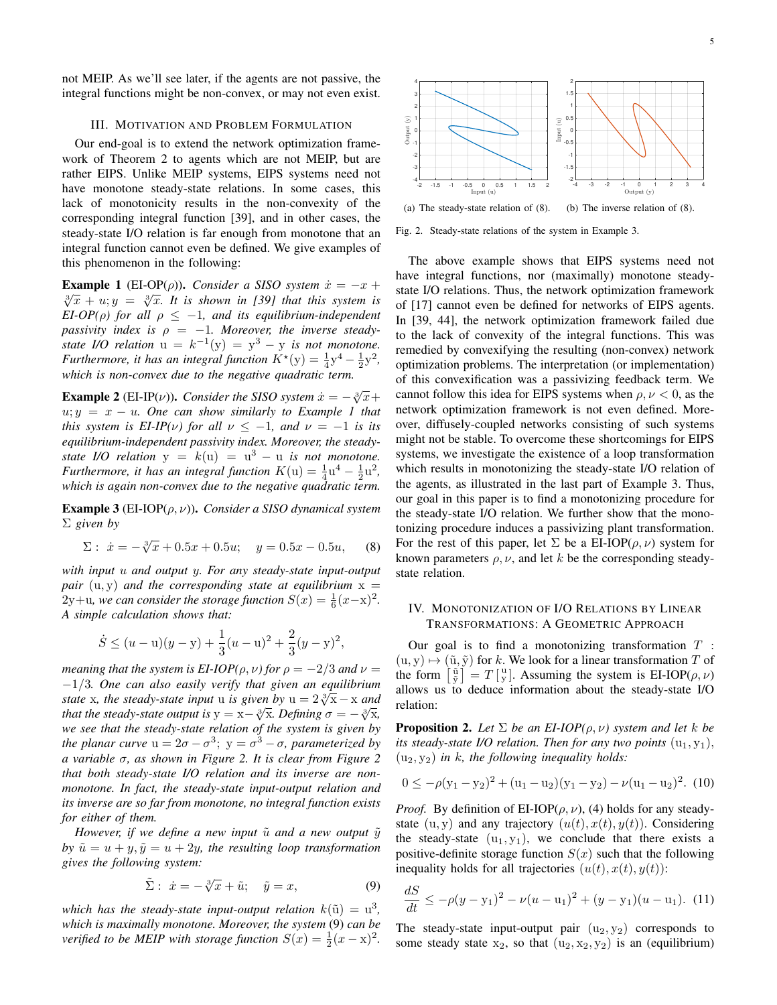not MEIP. As we'll see later, if the agents are not passive, the integral functions might be non-convex, or may not even exist.

## III. MOTIVATION AND PROBLEM FORMULATION

Our end-goal is to extend the network optimization framework of Theorem 2 to agents which are not MEIP, but are rather EIPS. Unlike MEIP systems, EIPS systems need not have monotone steady-state relations. In some cases, this lack of monotonicity results in the non-convexity of the corresponding integral function [39], and in other cases, the steady-state I/O relation is far enough from monotone that an integral function cannot even be defined. We give examples of this phenomenon in the following:

**Example 1** (EI-OP( $\rho$ )). *Consider a SISO system*  $\dot{x} = -x +$  $\sqrt[3]{x} + u$ ;  $y = \sqrt[3]{x}$ . It is shown in [39] that this system is *EI-OP(* $\rho$ *)* for all  $\rho \leq -1$ , and its equilibrium-independent *passivity index is*  $\rho = -1$ *. Moreover, the inverse steadystate I/O relation*  $u = k^{-1}(y) = y^3 - y$  *is not monotone. Furthermore, it has an integral function*  $K^*(y) = \frac{1}{4}y^4 - \frac{1}{2}y^2$ , *which is non-convex due to the negative quadratic term.*

**Example 2** (EI-IP( $\nu$ )). *Consider the SISO system*  $\dot{x} = -\sqrt[3]{x} +$  $u; y = x - u$ . One can show similarly to Example 1 that *this system is EI-IP(v) for all*  $\nu \leq -1$ *, and*  $\nu = -1$  *is its equilibrium-independent passivity index. Moreover, the steadystate I/O relation*  $y = k(u) = u^3 - u$  *is not monotone. Furthermore, it has an integral function*  $K(u) = \frac{1}{4}u^4 - \frac{1}{2}u^2$ , *which is again non-convex due to the negative quadratic term.*

Example 3 (EI-IOP(ρ, ν)). *Consider a SISO dynamical system* Σ *given by*

$$
\Sigma: \ \dot{x} = -\sqrt[3]{x} + 0.5x + 0.5u; \quad y = 0.5x - 0.5u, \tag{8}
$$

*with input* u *and output* y*. For any steady-state input-output pair*  $(u, y)$  *and the corresponding state at equilibrium*  $x =$  $2y+u$ , we can consider the storage function  $S(x) = \frac{1}{6}(x-x)^2$ . *A simple calculation shows that:*

$$
\dot{S} \le (u - u)(y - y) + \frac{1}{3}(u - u)^2 + \frac{2}{3}(y - y)^2,
$$

*meaning that the system is EI-IOP(* $\rho$ *,*  $\nu$ *) for*  $\rho = -2/3$  *and*  $\nu =$ −1/3*. One can also easily verify that given an equilibrium state* x*, the steady-state input* u *is given by*  $u = 2\sqrt[3]{x} - x$  *and that the steady-state output is*  $y = x - \sqrt[3]{x}$ *. Defining*  $\sigma = -\sqrt[3]{x}$ *, we see that the steady-state relation of the system is given by the planar curve*  $u = 2\sigma - \sigma^3$ ;  $y = \sigma^3 - \sigma$ , parameterized by *a variable* σ*, as shown in Figure 2. It is clear from Figure 2 that both steady-state I/O relation and its inverse are nonmonotone. In fact, the steady-state input-output relation and its inverse are so far from monotone, no integral function exists for either of them.*

*However, if we define a new input*  $\tilde{u}$  *and a new output*  $\tilde{y}$ *by*  $\tilde{u} = u + y$ ,  $\tilde{y} = u + 2y$ , the resulting loop transformation *gives the following system:*

$$
\tilde{\Sigma}: \dot{x} = -\sqrt[3]{x} + \tilde{u}; \quad \tilde{y} = x,\tag{9}
$$

which has the steady-state input-output relation  $k(\tilde{u}) = u^3$ , *which is maximally monotone. Moreover, the system* (9) *can be verified to be MEIP with storage function*  $S(x) = \frac{1}{2}(x - x)^2$ .



Fig. 2. Steady-state relations of the system in Example 3.

The above example shows that EIPS systems need not have integral functions, nor (maximally) monotone steadystate I/O relations. Thus, the network optimization framework of [17] cannot even be defined for networks of EIPS agents. In [39, 44], the network optimization framework failed due to the lack of convexity of the integral functions. This was remedied by convexifying the resulting (non-convex) network optimization problems. The interpretation (or implementation) of this convexification was a passivizing feedback term. We cannot follow this idea for EIPS systems when  $\rho, \nu < 0$ , as the network optimization framework is not even defined. Moreover, diffusely-coupled networks consisting of such systems might not be stable. To overcome these shortcomings for EIPS systems, we investigate the existence of a loop transformation which results in monotonizing the steady-state I/O relation of the agents, as illustrated in the last part of Example 3. Thus, our goal in this paper is to find a monotonizing procedure for the steady-state I/O relation. We further show that the monotonizing procedure induces a passivizing plant transformation. For the rest of this paper, let  $\Sigma$  be a EI-IOP( $\rho, \nu$ ) system for known parameters  $\rho$ ,  $\nu$ , and let k be the corresponding steadystate relation.

## IV. MONOTONIZATION OF I/O RELATIONS BY LINEAR TRANSFORMATIONS: A GEOMETRIC APPROACH

Our goal is to find a monotonizing transformation  $T$ :  $(u, y) \mapsto (\tilde{u}, \tilde{y})$  for k. We look for a linear transformation T of the form  $\begin{bmatrix} \tilde{u} \\ \tilde{y} \end{bmatrix} = T \begin{bmatrix} u \\ y \end{bmatrix}$ . Assuming the system is EI-IOP( $\rho, \nu$ ) allows us to deduce information about the steady-state I/O relation:

**Proposition 2.** *Let*  $\Sigma$  *be an EI-IOP(* $\rho, \nu$ *) system and let k be its steady-state I/O relation. Then for any two points*  $(u_1, y_1)$ ,  $(u_2, y_2)$  *in k, the following inequality holds:* 

$$
0 \le -\rho(y_1 - y_2)^2 + (u_1 - u_2)(y_1 - y_2) - \nu(u_1 - u_2)^2.
$$
 (10)

*Proof.* By definition of EI-IOP( $\rho, \nu$ ), (4) holds for any steadystate  $(u, y)$  and any trajectory  $(u(t), x(t), y(t))$ . Considering the steady-state  $(u_1, y_1)$ , we conclude that there exists a positive-definite storage function  $S(x)$  such that the following inequality holds for all trajectories  $(u(t), x(t), y(t))$ :

$$
\frac{dS}{dt} \le -\rho(y - y_1)^2 - \nu(u - u_1)^2 + (y - y_1)(u - u_1). \tag{11}
$$

The steady-state input-output pair  $(u_2, y_2)$  corresponds to some steady state  $x_2$ , so that  $(u_2, x_2, y_2)$  is an (equilibrium)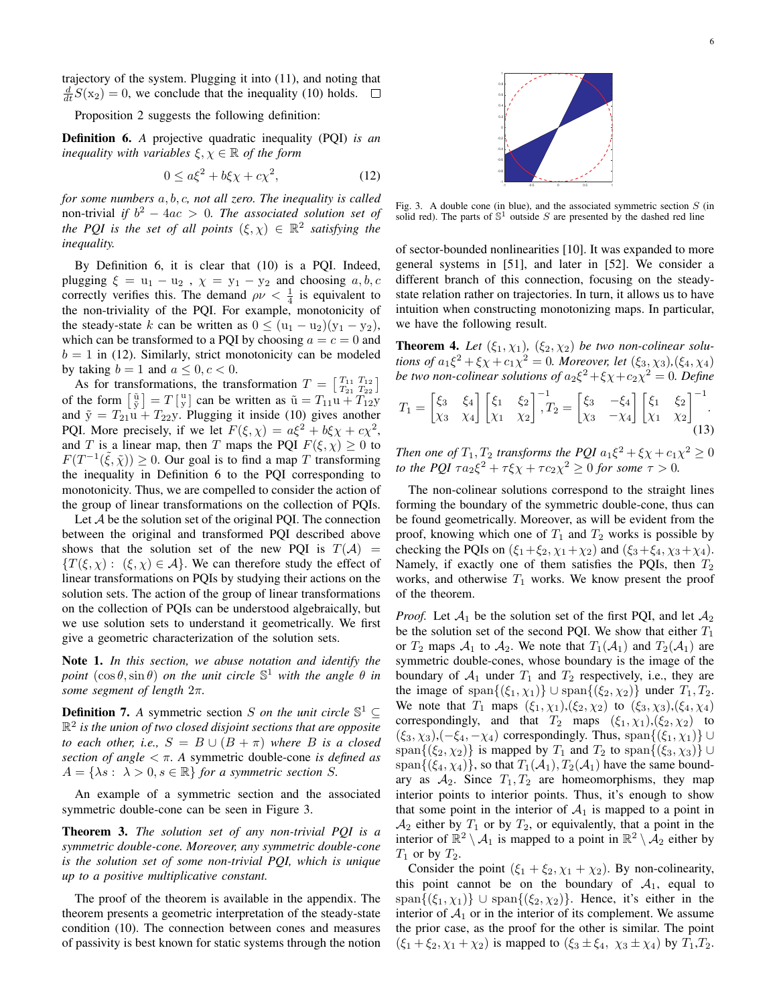trajectory of the system. Plugging it into (11), and noting that  $\frac{d}{dt}S(x_2) = 0$ , we conclude that the inequality (10) holds.

Proposition 2 suggests the following definition:

Definition 6. *A* projective quadratic inequality (PQI) *is an inequality with variables*  $\xi, \chi \in \mathbb{R}$  *of the form* 

$$
0 \le a\xi^2 + b\xi\chi + c\chi^2,\tag{12}
$$

*for some numbers* a, b, c*, not all zero. The inequality is called* non-trivial *if*  $b^2 - 4ac > 0$ *. The associated solution set of the PQI* is the set of all points  $(\xi, \chi) \in \mathbb{R}^2$  satisfying the *inequality.*

By Definition 6, it is clear that (10) is a PQI. Indeed, plugging  $\xi = u_1 - u_2$ ,  $\chi = y_1 - y_2$  and choosing  $a, b, c$ correctly verifies this. The demand  $\rho \nu < \frac{1}{4}$  is equivalent to the non-triviality of the PQI. For example, monotonicity of the steady-state k can be written as  $0 \leq (u_1 - u_2)(y_1 - y_2)$ , which can be transformed to a PQI by choosing  $a = c = 0$  and  $b = 1$  in (12). Similarly, strict monotonicity can be modeled by taking  $b = 1$  and  $a \leq 0, c < 0$ .

As for transformations, the transformation  $T = \begin{bmatrix} T_{11} & T_{12} \\ T_{21} & T_{22} \end{bmatrix}$ of the form  $\begin{bmatrix} \tilde{u} \\ \tilde{y} \end{bmatrix} = T \begin{bmatrix} u \\ y \end{bmatrix}$  can be written as  $\tilde{u} = T_{11}u + T_{12}u$ and  $\tilde{y} = T_{21}u + T_{22}y$ . Plugging it inside (10) gives another PQI. More precisely, if we let  $F(\xi, \chi) = a\xi^2 + b\xi\chi + c\chi^2$ , and T is a linear map, then T maps the PQI  $F(\xi, \chi) \geq 0$  to  $F(T^{-1}(\tilde{\xi}, \tilde{\chi})) \ge 0$ . Our goal is to find a map T transforming the inequality in Definition 6 to the PQI corresponding to monotonicity. Thus, we are compelled to consider the action of the group of linear transformations on the collection of PQIs.

Let A be the solution set of the original PQI. The connection between the original and transformed PQI described above shows that the solution set of the new PQI is  $T(A)$  =  ${T(\xi, \chi) : (\xi, \chi) \in \mathcal{A}}$ . We can therefore study the effect of linear transformations on PQIs by studying their actions on the solution sets. The action of the group of linear transformations on the collection of PQIs can be understood algebraically, but we use solution sets to understand it geometrically. We first give a geometric characterization of the solution sets.

Note 1. *In this section, we abuse notation and identify the point*  $(\cos \theta, \sin \theta)$  *on the unit circle*  $\mathbb{S}^1$  *with the angle*  $\theta$  *in some segment of length* 2π*.*

**Definition 7.** *A* symmetric section *S on the unit circle*  $\mathbb{S}^1 \subseteq$ R 2 *is the union of two closed disjoint sections that are opposite to each other, i.e.,*  $S = B \cup (B + \pi)$  *where B is a closed section of angle* < π*. A* symmetric double-cone *is defined as*  $A = \{\lambda s : \lambda > 0, s \in \mathbb{R}\}$  *for a symmetric section S.* 

An example of a symmetric section and the associated symmetric double-cone can be seen in Figure 3.

Theorem 3. *The solution set of any non-trivial PQI is a symmetric double-cone. Moreover, any symmetric double-cone is the solution set of some non-trivial PQI, which is unique up to a positive multiplicative constant.*

The proof of the theorem is available in the appendix. The theorem presents a geometric interpretation of the steady-state condition (10). The connection between cones and measures of passivity is best known for static systems through the notion



Fig. 3. A double cone (in blue), and the associated symmetric section  $S$  (in solid red). The parts of  $\mathbb{S}^1$  outside S are presented by the dashed red line

of sector-bounded nonlinearities [10]. It was expanded to more general systems in [51], and later in [52]. We consider a different branch of this connection, focusing on the steadystate relation rather on trajectories. In turn, it allows us to have intuition when constructing monotonizing maps. In particular, we have the following result.

**Theorem 4.** Let  $(\xi_1, \chi_1)$ ,  $(\xi_2, \chi_2)$  be two non-colinear solu*tions of*  $a_1 \xi^2 + \xi \chi + c_1 \chi^2 = 0$ *. Moreover, let*  $(\xi_3, \chi_3)$ *,*( $\xi_4, \chi_4$ ) *be two non-colinear solutions of*  $a_2\xi^2 + \xi \chi + c_2 \chi^2 = 0$ *. Define* 

$$
T_1 = \begin{bmatrix} \xi_3 & \xi_4 \\ \chi_3 & \chi_4 \end{bmatrix} \begin{bmatrix} \xi_1 & \xi_2 \\ \chi_1 & \chi_2 \end{bmatrix}^{-1}, T_2 = \begin{bmatrix} \xi_3 & -\xi_4 \\ \chi_3 & -\chi_4 \end{bmatrix} \begin{bmatrix} \xi_1 & \xi_2 \\ \chi_1 & \chi_2 \end{bmatrix}^{-1}.
$$
\n(13)

*Then one of*  $T_1, T_2$  *transforms the PQI*  $a_1 \xi^2 + \xi \chi + c_1 \chi^2 \ge 0$ *to the PQI*  $\tau a_2 \xi^2 + \tau \xi \chi + \tau c_2 \chi^2 \ge 0$  *for some*  $\tau > 0$ *.* 

The non-colinear solutions correspond to the straight lines forming the boundary of the symmetric double-cone, thus can be found geometrically. Moreover, as will be evident from the proof, knowing which one of  $T_1$  and  $T_2$  works is possible by checking the PQIs on  $(\xi_1+\xi_2, \chi_1+\chi_2)$  and  $(\xi_3+\xi_4, \chi_3+\chi_4)$ . Namely, if exactly one of them satisfies the PQIs, then  $T_2$ works, and otherwise  $T_1$  works. We know present the proof of the theorem.

*Proof.* Let  $A_1$  be the solution set of the first PQI, and let  $A_2$ be the solution set of the second PQI. We show that either  $T_1$ or  $T_2$  maps  $A_1$  to  $A_2$ . We note that  $T_1(A_1)$  and  $T_2(A_1)$  are symmetric double-cones, whose boundary is the image of the boundary of  $A_1$  under  $T_1$  and  $T_2$  respectively, i.e., they are the image of span $\{(\xi_1, \chi_1)\}\cup \text{span}\{(\xi_2, \chi_2)\}\$ under  $T_1, T_2$ . We note that  $T_1$  maps  $(\xi_1, \chi_1), (\xi_2, \chi_2)$  to  $(\xi_3, \chi_3), (\xi_4, \chi_4)$ correspondingly, and that  $T_2$  maps  $(\xi_1, \chi_1), (\xi_2, \chi_2)$  to  $(\xi_3, \chi_3), (-\xi_4, -\chi_4)$  correspondingly. Thus, span $\{(\xi_1, \chi_1)\}\cup$ span $\{(\xi_2, \chi_2)\}\$ is mapped by  $T_1$  and  $T_2$  to span $\{(\xi_3, \chi_3)\}\cup\$ span $\{(\xi_4, \chi_4)\}\$ , so that  $T_1(\mathcal{A}_1), T_2(\mathcal{A}_1)$  have the same boundary as  $A_2$ . Since  $T_1, T_2$  are homeomorphisms, they map interior points to interior points. Thus, it's enough to show that some point in the interior of  $A_1$  is mapped to a point in  $A_2$  either by  $T_1$  or by  $T_2$ , or equivalently, that a point in the interior of  $\mathbb{R}^2 \setminus A_1$  is mapped to a point in  $\mathbb{R}^2 \setminus A_2$  either by  $T_1$  or by  $T_2$ .

Consider the point  $(\xi_1 + \xi_2, \chi_1 + \chi_2)$ . By non-colinearity, this point cannot be on the boundary of  $A_1$ , equal to span $\{(\xi_1, \chi_1)\}\cup \text{span}\{(\xi_2, \chi_2)\}\$ . Hence, it's either in the interior of  $A_1$  or in the interior of its complement. We assume the prior case, as the proof for the other is similar. The point  $(\xi_1 + \xi_2, \chi_1 + \chi_2)$  is mapped to  $(\xi_3 \pm \xi_4, \chi_3 \pm \chi_4)$  by  $T_1, T_2$ .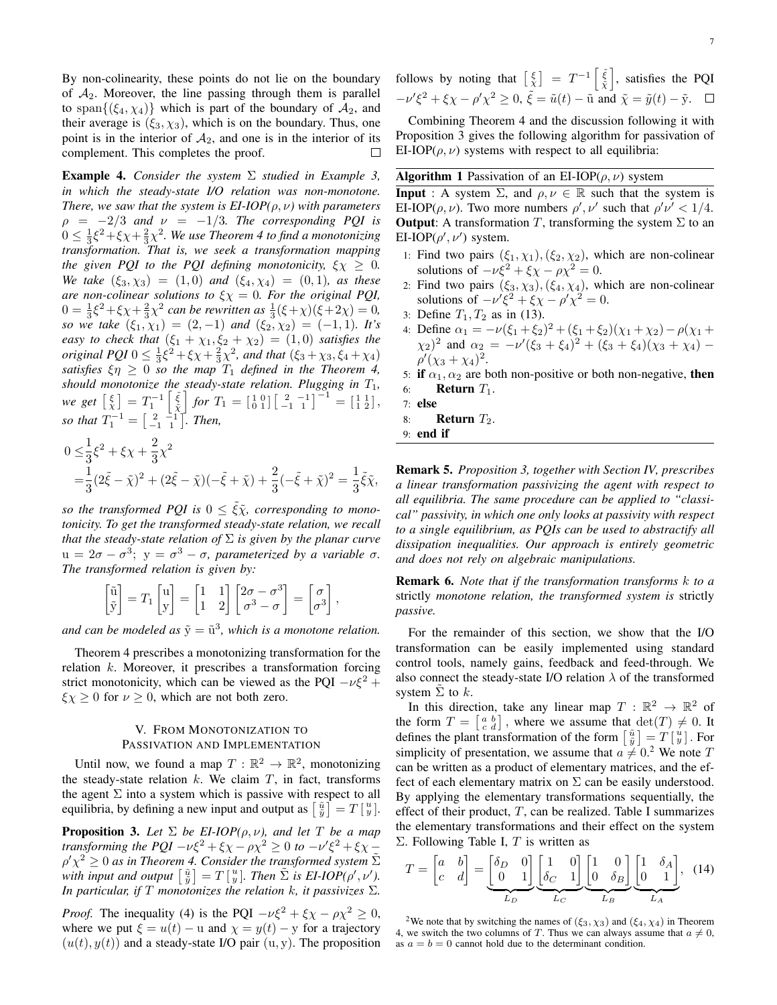By non-colinearity, these points do not lie on the boundary of  $A_2$ . Moreover, the line passing through them is parallel to span $\{(\xi_4, \chi_4)\}\$  which is part of the boundary of  $\mathcal{A}_2$ , and their average is  $(\xi_3, \chi_3)$ , which is on the boundary. Thus, one point is in the interior of  $A_2$ , and one is in the interior of its complement. This completes the proof. complement. This completes the proof.

Example 4. *Consider the system* Σ *studied in Example 3, in which the steady-state I/O relation was non-monotone. There, we saw that the system is EI-IOP(* $\rho, \nu$ *) with parameters*  $\rho = -2/3$  *and*  $\nu = -1/3$ *. The corresponding PQI is*  $0 \leq \frac{1}{3}\xi^2 + \xi\chi + \frac{2}{3}\chi^2$ . We use Theorem 4 to find a monotonizing *transformation. That is, we seek a transformation mapping the given PQI to the PQI defining monotonicity,*  $\xi \chi \geq 0$ *. We take*  $(\xi_3, \chi_3) = (1, 0)$  *and*  $(\xi_4, \chi_4) = (0, 1)$ *, as these are non-colinear solutions to*  $\xi \chi = 0$ *. For the original PQI*,  $0 = \frac{1}{3}\xi^2 + \xi\chi + \frac{2}{3}\chi^2$  can be rewritten as  $\frac{1}{3}(\xi + \chi)(\xi + 2\chi) = 0$ , *so we take*  $(\xi_1, \chi_1) = (2, -1)$  *and*  $(\xi_2, \chi_2) = (-1, 1)$ *. It's easy to check that*  $(\xi_1 + \chi_1, \xi_2 + \chi_2) = (1, 0)$  *satisfies the original PQI*  $0 \le \frac{1}{3}\xi^2 + \xi\chi + \frac{2}{3}\chi^2$ *, and that*  $(\xi_3 + \chi_3, \xi_4 + \chi_4)$ *satisfies*  $\xi \eta \geq 0$  *so the map*  $T_1$  *defined in the Theorem 4, should monotonize the steady-state relation. Plugging in*  $T_1$ *, we get*  $\begin{bmatrix} \xi \\ \chi \end{bmatrix} = T_1^{-1} \begin{bmatrix} \tilde{\xi} \\ \tilde{\chi} \end{bmatrix}$  *for*  $T_1 = \begin{bmatrix} 1 & 0 \\ 0 & 1 \end{bmatrix} \begin{bmatrix} 2 & -1 \\ -1 & 1 \end{bmatrix}^{-1} = \begin{bmatrix} 1 & 1 \\ 1 & 2 \end{bmatrix}$ , *so that*  $T_1^{-1} = \begin{bmatrix} 2 & -1 \\ -1 & 1 \end{bmatrix}$ *. Then,* 

$$
0 \leq \frac{1}{3}\xi^2 + \xi\chi + \frac{2}{3}\chi^2
$$
  
=  $\frac{1}{3}(2\tilde{\xi} - \tilde{\chi})^2 + (2\tilde{\xi} - \tilde{\chi})(-\tilde{\xi} + \tilde{\chi}) + \frac{2}{3}(-\tilde{\xi} + \tilde{\chi})^2 = \frac{1}{3}\tilde{\xi}\tilde{\chi},$ 

*so the transformed PQI is*  $0 \leq \xi \tilde{\chi}$ *, corresponding to monotonicity. To get the transformed steady-state relation, we recall that the steady-state relation of* Σ *is given by the planar curve*  $u = 2\sigma - \sigma^3$ ;  $y = \sigma^3 - \sigma$ , parameterized by a variable  $\sigma$ . *The transformed relation is given by:*

$$
\begin{bmatrix} \tilde{u} \\ \tilde{y} \end{bmatrix} = T_1 \begin{bmatrix} u \\ y \end{bmatrix} = \begin{bmatrix} 1 & 1 \\ 1 & 2 \end{bmatrix} \begin{bmatrix} 2\sigma - \sigma^3 \\ \sigma^3 - \sigma \end{bmatrix} = \begin{bmatrix} \sigma \\ \sigma^3 \end{bmatrix}
$$

,

and can be modeled as  $\tilde{y} = \tilde{u}^3$ , which is a monotone relation.

Theorem 4 prescribes a monotonizing transformation for the relation  $k$ . Moreover, it prescribes a transformation forcing strict monotonicity, which can be viewed as the PQI  $-v\xi^2$  +  $\xi \chi \ge 0$  for  $\nu \ge 0$ , which are not both zero.

# V. FROM MONOTONIZATION TO PASSIVATION AND IMPLEMENTATION

Until now, we found a map  $T : \mathbb{R}^2 \to \mathbb{R}^2$ , monotonizing the steady-state relation  $k$ . We claim  $T$ , in fact, transforms the agent  $\Sigma$  into a system which is passive with respect to all equilibria, by defining a new input and output as  $\begin{bmatrix} \tilde{u} \\ \tilde{y} \end{bmatrix} = T \begin{bmatrix} u \\ y \end{bmatrix}$ .

**Proposition 3.** Let  $\Sigma$  be EI-IOP( $\rho, \nu$ ), and let T be a map *transforming the PQI*  $-\nu \xi^2 + \xi \chi - \rho \chi^2 \geq 0$  *to*  $-\nu' \xi^2 + \xi \chi - \frac{1}{2}$  $\rho' \chi^2 \geq 0$  *as in Theorem 4. Consider the transformed system*  $\tilde{\Sigma}$ with input and output  $\begin{bmatrix} \tilde{u} \\ \tilde{y} \end{bmatrix} = T \begin{bmatrix} u \\ y \end{bmatrix}$ . Then  $\tilde{\Sigma}$  is EI-IOP( $\rho', \nu'$ ). *In particular, if*  $T$  *monotonizes the relation*  $k$ *, it passivizes*  $\Sigma$ *.* 

*Proof.* The inequality (4) is the PQI  $-v\xi^2 + \xi \chi - \rho \chi^2 \ge 0$ , where we put  $\xi = u(t) - u$  and  $\chi = y(t) - y$  for a trajectory  $(u(t), y(t))$  and a steady-state I/O pair  $(u, y)$ . The proposition

Combining Theorem 4 and the discussion following it with Proposition 3 gives the following algorithm for passivation of EI-IOP( $\rho, \nu$ ) systems with respect to all equilibria:

## **Algorithm 1** Passivation of an EI-IOP( $\rho$ ,  $\nu$ ) system

**Input** : A system  $\Sigma$ , and  $\rho, \nu \in \mathbb{R}$  such that the system is EI-IOP( $\rho, \nu$ ). Two more numbers  $\rho', \nu'$  such that  $\rho' \nu' < 1/4$ . **Output:** A transformation T, transforming the system  $\Sigma$  to an EI-IOP( $\rho'$ ,  $\nu'$ ) system.

- 1: Find two pairs  $(\xi_1, \chi_1), (\xi_2, \chi_2)$ , which are non-colinear solutions of  $-\nu \xi^2 + \xi \chi - \rho \chi^2 = 0$ .
- 2: Find two pairs  $(\xi_3, \chi_3), (\xi_4, \chi_4)$ , which are non-colinear solutions of  $-\nu' \xi^2 + \xi \chi - \rho' \chi^2 = 0$ .
- 3: Define  $T_1, T_2$  as in (13).
- 4: Define  $\alpha_1 = -\nu(\xi_1 + \xi_2)^2 + (\xi_1 + \xi_2)(\chi_1 + \chi_2) \rho(\chi_1 + \chi_2)$  $(\chi_2)^2$  and  $\alpha_2 = -\nu'(\xi_3 + \xi_4)^2 + (\xi_3 + \xi_4)(\chi_3 + \chi_4) \rho'(\chi_3 + \chi_4)^2$ .
- 5: if  $\alpha_1, \alpha_2$  are both non-positive or both non-negative, then 6: **Return**  $T_1$ .
- 7: else
- 8: **Return**  $T_2$ .
- 9: end if

Remark 5. *Proposition 3, together with Section IV, prescribes a linear transformation passivizing the agent with respect to all equilibria. The same procedure can be applied to "classical" passivity, in which one only looks at passivity with respect to a single equilibrium, as PQIs can be used to abstractify all dissipation inequalities. Our approach is entirely geometric and does not rely on algebraic manipulations.*

Remark 6. *Note that if the transformation transforms* k *to a* strictly *monotone relation, the transformed system is* strictly *passive.*

For the remainder of this section, we show that the I/O transformation can be easily implemented using standard control tools, namely gains, feedback and feed-through. We also connect the steady-state I/O relation  $\lambda$  of the transformed system  $\Sigma$  to  $k$ .

In this direction, take any linear map  $T : \mathbb{R}^2 \to \mathbb{R}^2$  of the form  $T = \begin{bmatrix} a & b \\ c & d \end{bmatrix}$ , where we assume that  $\det(T) \neq 0$ . It defines the plant transformation of the form  $\begin{bmatrix} \tilde{u} \\ \tilde{y} \end{bmatrix} = T \begin{bmatrix} u \\ y \end{bmatrix}$ . For simplicity of presentation, we assume that  $a \neq 0.2$  We note T can be written as a product of elementary matrices, and the effect of each elementary matrix on  $\Sigma$  can be easily understood. By applying the elementary transformations sequentially, the effect of their product,  $T$ , can be realized. Table I summarizes the elementary transformations and their effect on the system Σ. Following Table I, T is written as

$$
T = \begin{bmatrix} a & b \\ c & d \end{bmatrix} = \underbrace{\begin{bmatrix} \delta_D & 0 \\ 0 & 1 \end{bmatrix}}_{L_D} \underbrace{\begin{bmatrix} 1 & 0 \\ \delta_C & 1 \end{bmatrix}}_{L_C} \underbrace{\begin{bmatrix} 1 & 0 \\ 0 & \delta_B \end{bmatrix}}_{L_B} \underbrace{\begin{bmatrix} 1 & \delta_A \\ 0 & 1 \end{bmatrix}}_{L_A}, \quad (14)
$$

<sup>2</sup>We note that by switching the names of ( $\xi_3, \chi_3$ ) and ( $\xi_4, \chi_4$ ) in Theorem 4, we switch the two columns of T. Thus we can always assume that  $a \neq 0$ , as  $a = b = 0$  cannot hold due to the determinant condition.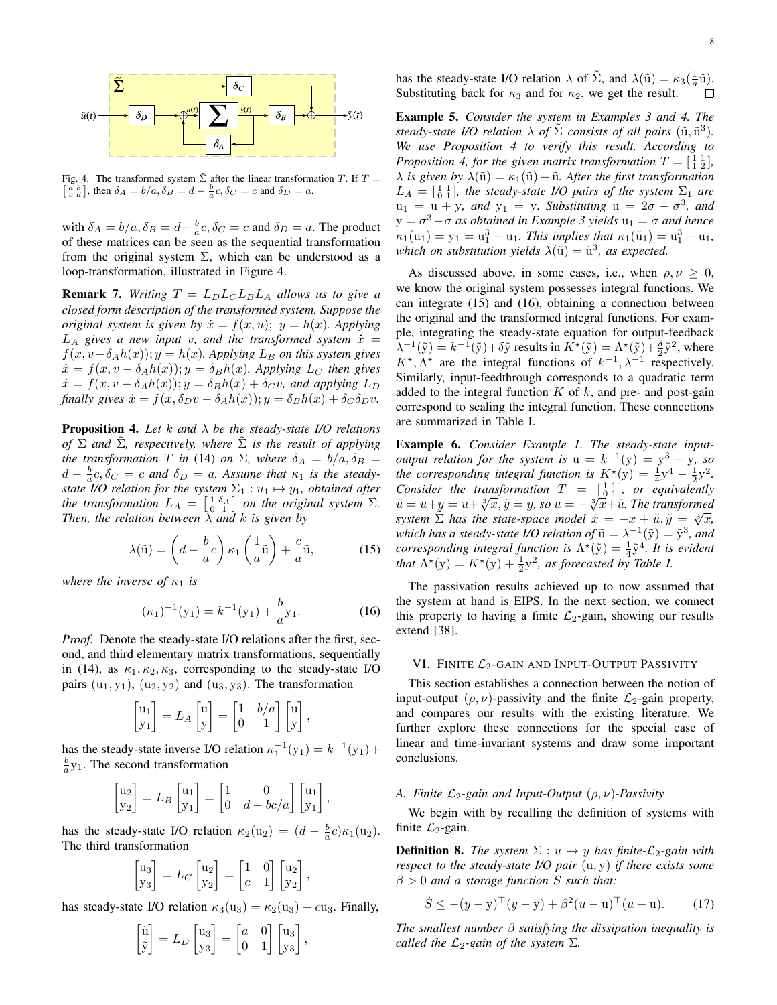

Fig. 4. The transformed system  $\tilde{\Sigma}$  after the linear transformation T. If T =  $\begin{bmatrix} a & b \\ c & d \end{bmatrix}$ , then  $\delta_A = b/a$ ,  $\delta_B = d - \frac{b}{a}c$ ,  $\delta_C = c$  and  $\delta_D = a$ .

with  $\delta_A = b/a$ ,  $\delta_B = d - \frac{b}{a}c$ ,  $\delta_C = c$  and  $\delta_D = a$ . The product of these matrices can be seen as the sequential transformation from the original system  $\Sigma$ , which can be understood as a loop-transformation, illustrated in Figure 4.

**Remark 7.** Writing  $T = L_D L_C L_B L_A$  allows us to give a *closed form description of the transformed system. Suppose the original system is given by*  $\dot{x} = f(x, u); y = h(x)$ *. Applying*  $L_A$  gives a new input v, and the transformed system  $\dot{x} =$  $f(x, v - \delta_A h(x)); y = h(x)$ . Applying  $L_B$  on this system gives  $\dot{x} = f(x, v - \delta_A h(x)); y = \delta_B h(x)$ *. Applying L<sub>C</sub> then gives*  $\dot{x} = f(x, v - \delta_A h(x)); y = \delta_B h(x) + \delta_C v$ , and applying  $L_D$ *finally gives*  $\dot{x} = f(x, \delta_D v - \delta_A h(x)); y = \delta_B h(x) + \delta_C \delta_D v$ .

Proposition 4. *Let* k *and* λ *be the steady-state I/O relations of*  $\Sigma$  *and*  $\Sigma$ *, respectively, where*  $\Sigma$  *is the result of applying the transformation* T *in* (14) *on*  $\Sigma$ *, where*  $\delta_A = b/a$ ,  $\delta_B =$  $d - \frac{b}{a}c, \delta_C = c$  and  $\delta_D = a$ . Assume that  $\kappa_1$  is the steady*state I/O relation for the system*  $\Sigma_1 : u_1 \mapsto y_1$ *, obtained after the transformation*  $L_A = \begin{bmatrix} 1 & \delta_A \\ 0 & 1 \end{bmatrix}$  *on the original system*  $\Sigma$ *. Then, the relation between* λ *and* k *is given by*

$$
\lambda(\tilde{\mathbf{u}}) = \left(d - \frac{b}{a}c\right)\kappa_1\left(\frac{1}{a}\tilde{\mathbf{u}}\right) + \frac{c}{a}\tilde{\mathbf{u}},\tag{15}
$$

*where the inverse of*  $\kappa_1$  *is* 

$$
(\kappa_1)^{-1}(y_1) = k^{-1}(y_1) + \frac{b}{a}y_1.
$$
 (16)

*Proof.* Denote the steady-state I/O relations after the first, second, and third elementary matrix transformations, sequentially in (14), as  $\kappa_1, \kappa_2, \kappa_3$ , corresponding to the steady-state I/O pairs  $(u_1, y_1)$ ,  $(u_2, y_2)$  and  $(u_3, y_3)$ . The transformation

$$
\begin{bmatrix} u_1 \\ y_1 \end{bmatrix} = L_A \begin{bmatrix} u \\ y \end{bmatrix} = \begin{bmatrix} 1 & b/a \\ 0 & 1 \end{bmatrix} \begin{bmatrix} u \\ y \end{bmatrix},
$$

has the steady-state inverse I/O relation  $\kappa_1^{-1}(y_1) = k^{-1}(y_1) +$  $\frac{b}{a}$ y<sub>1</sub>. The second transformation

$$
\begin{bmatrix} u_2 \\ y_2 \end{bmatrix} = L_B \begin{bmatrix} u_1 \\ y_1 \end{bmatrix} = \begin{bmatrix} 1 & 0 \\ 0 & d - bc/a \end{bmatrix} \begin{bmatrix} u_1 \\ y_1 \end{bmatrix},
$$

has the steady-state I/O relation  $\kappa_2(\mathbf{u}_2) = (d - \frac{b}{a}c)\kappa_1(\mathbf{u}_2)$ . The third transformation

$$
\begin{bmatrix} u_3 \\ y_3 \end{bmatrix} = L_C \begin{bmatrix} u_2 \\ y_2 \end{bmatrix} = \begin{bmatrix} 1 & 0 \\ c & 1 \end{bmatrix} \begin{bmatrix} u_2 \\ y_2 \end{bmatrix},
$$

has steady-state I/O relation  $\kappa_3(u_3) = \kappa_2(u_3) + cu_3$ . Finally,

$$
\begin{bmatrix} \tilde{\mathbf{u}} \\ \tilde{\mathbf{y}} \end{bmatrix} = L_D \begin{bmatrix} \mathbf{u}_3 \\ \mathbf{y}_3 \end{bmatrix} = \begin{bmatrix} a & 0 \\ 0 & 1 \end{bmatrix} \begin{bmatrix} \mathbf{u}_3 \\ \mathbf{y}_3 \end{bmatrix},
$$

has the steady-state I/O relation  $\lambda$  of  $\tilde{\Sigma}$ , and  $\lambda(\tilde{u}) = \kappa_3(\frac{1}{a}\tilde{u})$ . Substituting back for  $\kappa_3$  and for  $\kappa_2$ , we get the result.

Example 5. *Consider the system in Examples 3 and 4. The steady-state I/O relation*  $\lambda$  *of*  $\tilde{\Sigma}$  *consists of all pairs* ( $\tilde{u}, \tilde{u}^3$ ). *We use Proposition 4 to verify this result. According to Proposition 4, for the given matrix transformation*  $T = \begin{bmatrix} 1 & 1 \\ 1 & 2 \end{bmatrix}$ ,  $\lambda$  *is given by*  $\lambda(\tilde{u}) = \kappa_1(\tilde{u}) + \tilde{u}$ *. After the first transformation*  $L_A = \begin{bmatrix} 1 & 1 \\ 0 & 1 \end{bmatrix}$ , the steady-state I/O pairs of the system  $\Sigma_1$  are  $u_1 = u + y$ *, and*  $y_1 = y$ *. Substituting*  $u = 2\sigma - \sigma^3$ *, and*  $y = \sigma^3 - \sigma$  *as obtained in Example 3 yields*  $u_1 = \sigma$  *and hence*  $\kappa_1(u_1) = y_1 = u_1^3 - u_1$ . This implies that  $\kappa_1(\tilde{u}_1) = u_1^3 - u_1$ , *which on substitution yields*  $\lambda(\tilde{u}) = \tilde{u}^3$ , as expected.

As discussed above, in some cases, i.e., when  $\rho, \nu \geq 0$ , we know the original system possesses integral functions. We can integrate (15) and (16), obtaining a connection between the original and the transformed integral functions. For example, integrating the steady-state equation for output-feedback  $\lambda^{-1}(\tilde{y}) = k^{-1}(\tilde{y}) + \delta \tilde{y}$  results in  $K^*(\tilde{y}) = \Lambda^*(\tilde{y}) + \frac{\delta}{2} \tilde{y}^2$ , where  $K^*$ ,  $\Lambda^*$  are the integral functions of  $k^{-1}$ ,  $\lambda^{-1}$  respectively. Similarly, input-feedthrough corresponds to a quadratic term added to the integral function  $K$  of  $k$ , and pre- and post-gain correspond to scaling the integral function. These connections are summarized in Table I.

Example 6. *Consider Example 1. The steady-state inputoutput relation for the system is*  $u = k^{-1}(y) = y^3 - y$ *, so the corresponding integral function is*  $K^*(y) = \frac{1}{4}y^4 - \frac{1}{2}y^2$ . *Consider the transformation*  $T = \begin{bmatrix} 1 & 1 \\ 0 & 1 \end{bmatrix}$ *, or equivalently*  $\tilde{u} = u + y = u + \sqrt[3]{x}, \tilde{y} = y$ , so  $u = -\sqrt[3]{x} + \tilde{u}$ . The transformed system  $\sum_{n=1}^{\infty}$  *has the state-space model*  $\dot{x} = -x + \tilde{u}, \tilde{y} = \sqrt[3]{x}$ , which has a steady-state I/O relation of  $\tilde{u} = \lambda^{-1}(\tilde{y}) = \tilde{y}^3$ , and *corresponding integral function is*  $\Lambda^*(\tilde{y}) = \frac{1}{4}\tilde{y}^4$ *. It is evident that*  $\Lambda^*(y) = K^*(y) + \frac{1}{2}y^2$ *, as forecasted by Table I.* 

The passivation results achieved up to now assumed that the system at hand is EIPS. In the next section, we connect this property to having a finite  $\mathcal{L}_2$ -gain, showing our results extend [38].

## VI. FINITE  $\mathcal{L}_2$ -GAIN AND INPUT-OUTPUT PASSIVITY

This section establishes a connection between the notion of input-output  $(\rho, \nu)$ -passivity and the finite  $\mathcal{L}_2$ -gain property, and compares our results with the existing literature. We further explore these connections for the special case of linear and time-invariant systems and draw some important conclusions.

## *A. Finite* L2*-gain and Input-Output* (ρ, ν)*-Passivity*

We begin with by recalling the definition of systems with finite  $\mathcal{L}_2$ -gain.

**Definition 8.** *The system*  $\Sigma: u \mapsto y$  *has finite-* $\mathcal{L}_2$ *-gain with respect to the steady-state I/O pair* (u, y) *if there exists some*  $\beta > 0$  *and a storage function* S *such that:* 

$$
\dot{S} \le -(y - y)^{\top} (y - y) + \beta^2 (u - u)^{\top} (u - u). \tag{17}
$$

*The smallest number* β *satisfying the dissipation inequality is called the*  $\mathcal{L}_2$ -gain of the system  $\Sigma$ .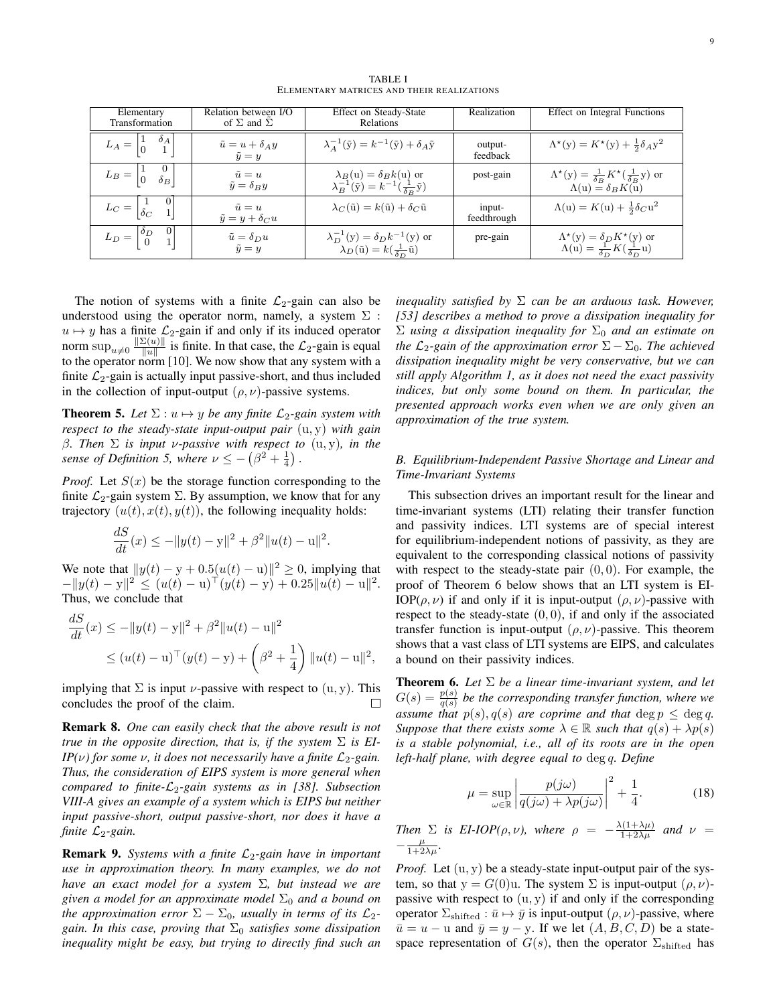| Elementary<br>Transformation                                           | Relation between I/O<br>of $\Sigma$ and $\Sigma$ | Effect on Steady-State<br>Relations                                                                        | Realization           | Effect on Integral Functions                                                                             |
|------------------------------------------------------------------------|--------------------------------------------------|------------------------------------------------------------------------------------------------------------|-----------------------|----------------------------------------------------------------------------------------------------------|
| $L_A = \begin{vmatrix} 1 & \delta_A \\ 0 & 1 \end{vmatrix}$            | $\tilde{u} = u + \delta_A y$<br>$\tilde{y} = y$  | $\lambda_A^{-1}(\tilde{\mathbf{y}}) = k^{-1}(\tilde{\mathbf{y}}) + \delta_A \tilde{\mathbf{y}}$            | output-<br>feedback   | $\Lambda^{\star}(y) = K^{\star}(y) + \frac{1}{2}\delta_{AY}^{2}$                                         |
| $L_B = \begin{vmatrix} 1 & 0 \\ 0 & \delta_B \end{vmatrix}$            | $\tilde{u} = u$<br>$\tilde{y} = \delta_B y$      | $\lambda_B$ (u) = $\delta_B k$ (u) or<br>$\lambda_B^{-1}(\tilde{y}) = k^{-1}(\frac{1}{\delta_B}\tilde{y})$ | post-gain             | $\Lambda^*(y) = \frac{1}{\delta_B} K^*(\frac{1}{\delta_B}y)$ or $\Lambda(u) = \delta_B K(u)$             |
| $L_C = \begin{vmatrix} 1 \\ \delta_C \end{vmatrix}$                    | $\tilde{u} = u$<br>$\tilde{y} = y + \delta_C u$  | $\lambda_C(\tilde{\mathbf{u}}) = k(\tilde{\mathbf{u}}) + \delta_C \tilde{\mathbf{u}}$                      | input-<br>feedthrough | $\Lambda(u) = K(u) + \frac{1}{2}\delta_C u^2$                                                            |
| $\vert 0 \vert$<br>$L_D = \begin{bmatrix} \delta_D \\ 0 \end{bmatrix}$ | $\tilde{u} = \delta_D u$<br>$\tilde{y} = y$      | $\lambda_D^{-1}(y) = \delta_D k^{-1}(y)$ or<br>$\lambda_D(\tilde{u}) = k(\frac{1}{\delta_D}\tilde{u})$     | pre-gain              | $\Lambda^{\star}(y) = \delta_D K^{\star}(y)$ or $\Lambda(u) = \frac{1}{\delta_D} K(\frac{1}{\delta_D}u)$ |

TABLE I ELEMENTARY MATRICES AND THEIR REALIZATIONS

The notion of systems with a finite  $\mathcal{L}_2$ -gain can also be understood using the operator norm, namely, a system  $\Sigma$ :  $u \mapsto y$  has a finite  $\mathcal{L}_2$ -gain if and only if its induced operator norm  $\sup_{u\neq 0} \frac{\|\Sigma(u)\|}{\|u\|}$  $\frac{\mathcal{L}(u)}{\|u\|}$  is finite. In that case, the  $\mathcal{L}_2$ -gain is equal to the operator norm [10]. We now show that any system with a finite  $\mathcal{L}_2$ -gain is actually input passive-short, and thus included in the collection of input-output  $(\rho, \nu)$ -passive systems.

**Theorem 5.** Let  $\Sigma: u \mapsto y$  be any finite  $\mathcal{L}_2$ -gain system with *respect to the steady-state input-output pair* (u, y) *with gain* β*. Then* Σ *is input* ν*-passive with respect to* (u, y)*, in the sense of Definition 5, where*  $\nu \le -(\beta^2 + \frac{1}{4})$ .

*Proof.* Let  $S(x)$  be the storage function corresponding to the finite  $\mathcal{L}_2$ -gain system  $\Sigma$ . By assumption, we know that for any trajectory  $(u(t), x(t), y(t))$ , the following inequality holds:

$$
\frac{dS}{dt}(x) \le -\|y(t) - y\|^2 + \beta^2 \|u(t) - u\|^2.
$$

We note that  $||y(t) - y + 0.5(u(t) - u)||^2 \ge 0$ , implying that  $-\|y(t) - y\|^2 \le (u(t) - u)^{\top}(y(t) - y) + 0.25\|u(t) - u\|^2.$ Thus, we conclude that

$$
\frac{dS}{dt}(x) \le -||y(t) - y||^2 + \beta^2 ||u(t) - u||^2
$$
  
\n
$$
\le (u(t) - u)^{\top} (y(t) - y) + \left(\beta^2 + \frac{1}{4}\right) ||u(t) - u||^2,
$$

implying that  $\Sigma$  is input *v*-passive with respect to  $(u, y)$ . This concludes the proof of the claim.

Remark 8. *One can easily check that the above result is not true in the opposite direction, that is, if the system* Σ *is EI-IP(v)* for some *v*, it does not necessarily have a finite  $\mathcal{L}_2$ -gain. *Thus, the consideration of EIPS system is more general when compared to finite-* $\mathcal{L}_2$ *-gain systems as in [38]. Subsection VIII-A gives an example of a system which is EIPS but neither input passive-short, output passive-short, nor does it have a finite*  $\mathcal{L}_2$ -gain.

**Remark 9.** Systems with a finite  $\mathcal{L}_2$ -gain have in important *use in approximation theory. In many examples, we do not have an exact model for a system* Σ*, but instead we are given a model for an approximate model*  $\Sigma_0$  *and a bound on the approximation error*  $\Sigma - \Sigma_0$ *, usually in terms of its*  $\mathcal{L}_2$ *gain. In this case, proving that*  $\Sigma_0$  *satisfies some dissipation inequality might be easy, but trying to directly find such an*

*inequality satisfied by* Σ *can be an arduous task. However, [53] describes a method to prove a dissipation inequality for*  $\Sigma$  *using a dissipation inequality for*  $\Sigma_0$  *and an estimate on the*  $\mathcal{L}_2$ -gain of the approximation error  $\Sigma - \Sigma_0$ . The achieved *dissipation inequality might be very conservative, but we can still apply Algorithm 1, as it does not need the exact passivity indices, but only some bound on them. In particular, the presented approach works even when we are only given an approximation of the true system.*

## *B. Equilibrium-Independent Passive Shortage and Linear and Time-Invariant Systems*

This subsection drives an important result for the linear and time-invariant systems (LTI) relating their transfer function and passivity indices. LTI systems are of special interest for equilibrium-independent notions of passivity, as they are equivalent to the corresponding classical notions of passivity with respect to the steady-state pair  $(0, 0)$ . For example, the proof of Theorem 6 below shows that an LTI system is EI-IOP( $\rho, \nu$ ) if and only if it is input-output ( $\rho, \nu$ )-passive with respect to the steady-state  $(0, 0)$ , if and only if the associated transfer function is input-output  $(\rho, \nu)$ -passive. This theorem shows that a vast class of LTI systems are EIPS, and calculates a bound on their passivity indices.

Theorem 6. *Let* Σ *be a linear time-invariant system, and let*  $G(s) = \frac{p(s)}{q(s)}$  be the corresponding transfer function, where we *assume that*  $p(s)$ ,  $q(s)$  *are coprime and that*  $\deg p \leq \deg q$ . *Suppose that there exists some*  $\lambda \in \mathbb{R}$  *such that*  $q(s) + \lambda p(s)$ *is a stable polynomial, i.e., all of its roots are in the open left-half plane, with degree equal to* deg q*. Define*

$$
\mu = \sup_{\omega \in \mathbb{R}} \left| \frac{p(j\omega)}{q(j\omega) + \lambda p(j\omega)} \right|^2 + \frac{1}{4}.
$$
 (18)

*Then*  $\Sigma$  *is EI-IOP(* $\rho, \nu$ *), where*  $\rho = -\frac{\lambda(1+\lambda\mu)}{1+2\lambda\mu}$  *and*  $\nu =$  $-\frac{\mu}{1+2\lambda\mu}$ .

*Proof.* Let  $(u, y)$  be a steady-state input-output pair of the system, so that  $y = G(0)u$ . The system  $\Sigma$  is input-output  $(\rho, \nu)$ passive with respect to  $(u, y)$  if and only if the corresponding operator  $\Sigma_{\text{shifted}} : \bar{u} \mapsto \bar{y}$  is input-output  $(\rho, \nu)$ -passive, where  $\overline{u} = u - u$  and  $\overline{y} = y - y$ . If we let  $(A, B, C, D)$  be a statespace representation of  $G(s)$ , then the operator  $\Sigma_{\text{shifted}}$  has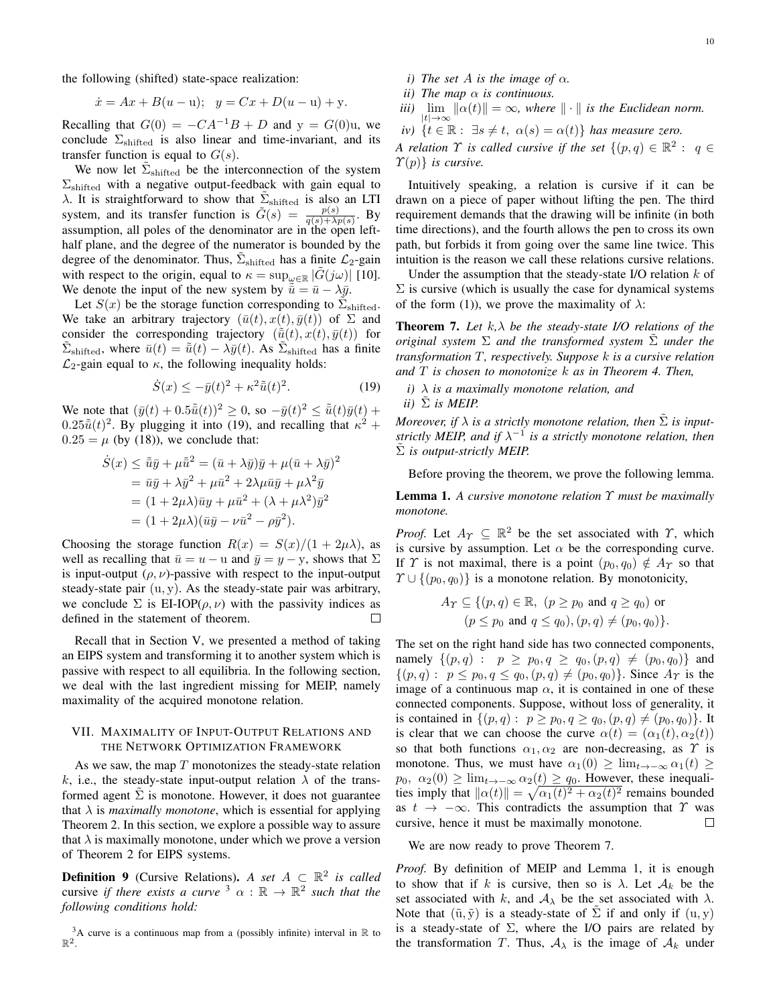the following (shifted) state-space realization:

$$
\dot{x} = Ax + B(u - u); \quad y = Cx + D(u - u) + y.
$$

Recalling that  $G(0) = -CA^{-1}B + D$  and  $y = G(0)u$ , we conclude  $\Sigma_{\text{shifted}}$  is also linear and time-invariant, and its transfer function is equal to  $G(s)$ .

We now let  $\tilde{\Sigma}_{\text{shifted}}$  be the interconnection of the system  $\Sigma_{\text{shifted}}$  with a negative output-feedback with gain equal to  $\lambda$ . It is straightforward to show that  $\tilde{\Sigma}_{\text{shifted}}$  is also an LTI system, and its transfer function is  $\tilde{G}(s) = \frac{p(s)}{q(s)+\lambda p(s)}$ . By assumption, all poles of the denominator are in the open lefthalf plane, and the degree of the numerator is bounded by the degree of the denominator. Thus,  $\tilde{\Sigma}_{\text{shifted}}$  has a finite  $\mathcal{L}_2$ -gain with respect to the origin, equal to  $\kappa = \sup_{\omega \in \mathbb{R}} |G(j\omega)|$  [10]. We denote the input of the new system by  $\bar{u} = \bar{u} - \lambda \bar{y}$ .

Let  $S(x)$  be the storage function corresponding to  $\tilde{\Sigma}_{\text{shifted}}$ . We take an arbitrary trajectory  $(\bar{u}(t), x(t), \bar{y}(t))$  of  $\Sigma$  and consider the corresponding trajectory  $(\tilde{u}(t), x(t), \bar{y}(t))$  for  $\tilde{\Sigma}_{\text{shifted}}$ , where  $\bar{u}(t) = \tilde{\bar{u}}(t) - \lambda \bar{y}(t)$ . As  $\tilde{\Sigma}_{\text{shifted}}$  has a finite  $\mathcal{L}_2$ -gain equal to  $\kappa$ , the following inequality holds:

$$
\dot{S}(x) \le -\bar{y}(t)^2 + \kappa^2 \tilde{\bar{u}}(t)^2. \tag{19}
$$

We note that  $(\bar{y}(t) + 0.5\tilde{\bar{u}}(t))^2 \geq 0$ , so  $-\bar{y}(t)^2 \leq \tilde{\bar{u}}(t)\bar{y}(t) +$  $0.25\tilde{u}(t)^2$ . By plugging it into (19), and recalling that  $\kappa^2$  +  $0.25 = \mu$  (by (18)), we conclude that:

$$
\dot{S}(x) \le \tilde{u}\bar{y} + \mu \tilde{u}^2 = (\bar{u} + \lambda \bar{y})\bar{y} + \mu (\bar{u} + \lambda \bar{y})^2
$$
  
=  $\bar{u}\bar{y} + \lambda \bar{y}^2 + \mu \bar{u}^2 + 2\lambda \mu \bar{u}\bar{y} + \mu \lambda^2 \bar{y}$   
=  $(1 + 2\mu\lambda)\bar{u}y + \mu \bar{u}^2 + (\lambda + \mu\lambda^2)\bar{y}^2$   
=  $(1 + 2\mu\lambda)(\bar{u}\bar{y} - \nu \bar{u}^2 - \rho \bar{y}^2).$ 

Choosing the storage function  $R(x) = S(x)/(1 + 2\mu\lambda)$ , as well as recalling that  $\bar{u} = u - u$  and  $\bar{y} = y - y$ , shows that  $\Sigma$ is input-output  $(\rho, \nu)$ -passive with respect to the input-output steady-state pair  $(u, v)$ . As the steady-state pair was arbitrary, we conclude  $\Sigma$  is EI-IOP( $\rho, \nu$ ) with the passivity indices as defined in the statement of theorem.  $\Box$ 

Recall that in Section V, we presented a method of taking an EIPS system and transforming it to another system which is passive with respect to all equilibria. In the following section, we deal with the last ingredient missing for MEIP, namely maximality of the acquired monotone relation.

## VII. MAXIMALITY OF INPUT-OUTPUT RELATIONS AND THE NETWORK OPTIMIZATION FRAMEWORK

As we saw, the map  $T$  monotonizes the steady-state relation k, i.e., the steady-state input-output relation  $\lambda$  of the transformed agent  $\tilde{\Sigma}$  is monotone. However, it does not guarantee that  $\lambda$  is *maximally monotone*, which is essential for applying Theorem 2. In this section, we explore a possible way to assure that  $\lambda$  is maximally monotone, under which we prove a version of Theorem 2 for EIPS systems.

**Definition 9** (Cursive Relations). *A set*  $A \subseteq \mathbb{R}^2$  *is called* cursive *if there exists a curve*  $\lambda^3 \alpha : \mathbb{R} \to \mathbb{R}^2$  such that the *following conditions hold:*

- *i)* The set A is the image of  $\alpha$ .
- *ii*) The map  $\alpha$  *is continuous.*
- *iii*)  $\lim_{|t| \to \infty} ||\alpha(t)|| = \infty$ , where  $|| \cdot ||$  is the Euclidean norm.
- $iv)$  { $t \in \mathbb{R}$  :  $\exists s \neq t$ ,  $\alpha(s) = \alpha(t)$ } *has measure zero.*

*A relation*  $\Upsilon$  *is called cursive if the set*  $\{(p,q) \in \mathbb{R}^2 : q \in \mathbb{R}^2 : q \in \mathbb{R}^2\}$  $\mathcal{T}(p)$ *} is cursive.* 

Intuitively speaking, a relation is cursive if it can be drawn on a piece of paper without lifting the pen. The third requirement demands that the drawing will be infinite (in both time directions), and the fourth allows the pen to cross its own path, but forbids it from going over the same line twice. This intuition is the reason we call these relations cursive relations.

Under the assumption that the steady-state I/O relation  $k$  of  $\Sigma$  is cursive (which is usually the case for dynamical systems of the form (1)), we prove the maximality of  $\lambda$ :

Theorem 7. *Let* k*,*λ *be the steady-state I/O relations of the original system*  $\Sigma$  *and the transformed system*  $\Sigma$  *under the transformation* T*, respectively. Suppose* k *is a cursive relation and* T *is chosen to monotonize* k *as in Theorem 4. Then,*

*i)* λ *is a maximally monotone relation, and*  $ii)$   $\Sigma$  *is MEIP.* 

*Moreover, if*  $\lambda$  *is a strictly monotone relation, then*  $\tilde{\Sigma}$  *is inputstrictly MEIP, and if*  $\lambda^{-1}$  *is a strictly monotone relation, then* Σ˜ *is output-strictly MEIP.*

Before proving the theorem, we prove the following lemma.

Lemma 1. *A cursive monotone relation* Υ *must be maximally monotone.*

*Proof.* Let  $A_{\Upsilon} \subseteq \mathbb{R}^2$  be the set associated with  $\Upsilon$ , which is cursive by assumption. Let  $\alpha$  be the corresponding curve. If Y is not maximal, there is a point  $(p_0, q_0) \notin A_Y$  so that  $\Upsilon \cup \{(p_0, q_0)\}\$ is a monotone relation. By monotonicity,

$$
A_{\Upsilon} \subseteq \{(p,q) \in \mathbb{R}, (p \ge p_0 \text{ and } q \ge q_0) \text{ or}
$$
  

$$
(p \le p_0 \text{ and } q \le q_0), (p,q) \neq (p_0, q_0) \}
$$

The set on the right hand side has two connected components, namely  $\{(p,q) : p \ge p_0, q \ge q_0, (p,q) \ne (p_0, q_0)\}\$ and  $\{(p,q): p \leq p_0, q \leq q_0, (p,q) \neq (p_0,q_0)\}\.$  Since  $A_{\Upsilon}$  is the image of a continuous map  $\alpha$ , it is contained in one of these connected components. Suppose, without loss of generality, it is contained in  $\{(p,q): p \geq p_0, q \geq q_0, (p,q) \neq (p_0, q_0)\}.$  It is clear that we can choose the curve  $\alpha(t) = (\alpha_1(t), \alpha_2(t))$ so that both functions  $\alpha_1, \alpha_2$  are non-decreasing, as  $\gamma$  is monotone. Thus, we must have  $\alpha_1(0) \geq \lim_{t \to -\infty} \alpha_1(t) \geq$  $p_0, \alpha_2(0) \ge \lim_{t \to -\infty} \alpha_2(t) \ge q_0$ . However, these inequalities imply that  $\|\alpha(t)\| = \sqrt{\alpha_1(t)^2 + \alpha_2(t)^2}$  remains bounded as  $t \to -\infty$ . This contradicts the assumption that  $\Upsilon$  was cursive, hence it must be maximally monotone. cursive, hence it must be maximally monotone.

We are now ready to prove Theorem 7.

*Proof.* By definition of MEIP and Lemma 1, it is enough to show that if k is cursive, then so is  $\lambda$ . Let  $\mathcal{A}_k$  be the set associated with k, and  $A_{\lambda}$  be the set associated with  $\lambda$ . Note that  $(\tilde{u}, \tilde{y})$  is a steady-state of  $\Sigma$  if and only if  $(u, y)$ is a steady-state of  $\Sigma$ , where the I/O pairs are related by the transformation T. Thus,  $A_{\lambda}$  is the image of  $A_k$  under

<sup>&</sup>lt;sup>3</sup>A curve is a continuous map from a (possibly infinite) interval in  $\mathbb R$  to  $\mathbb R^2$ .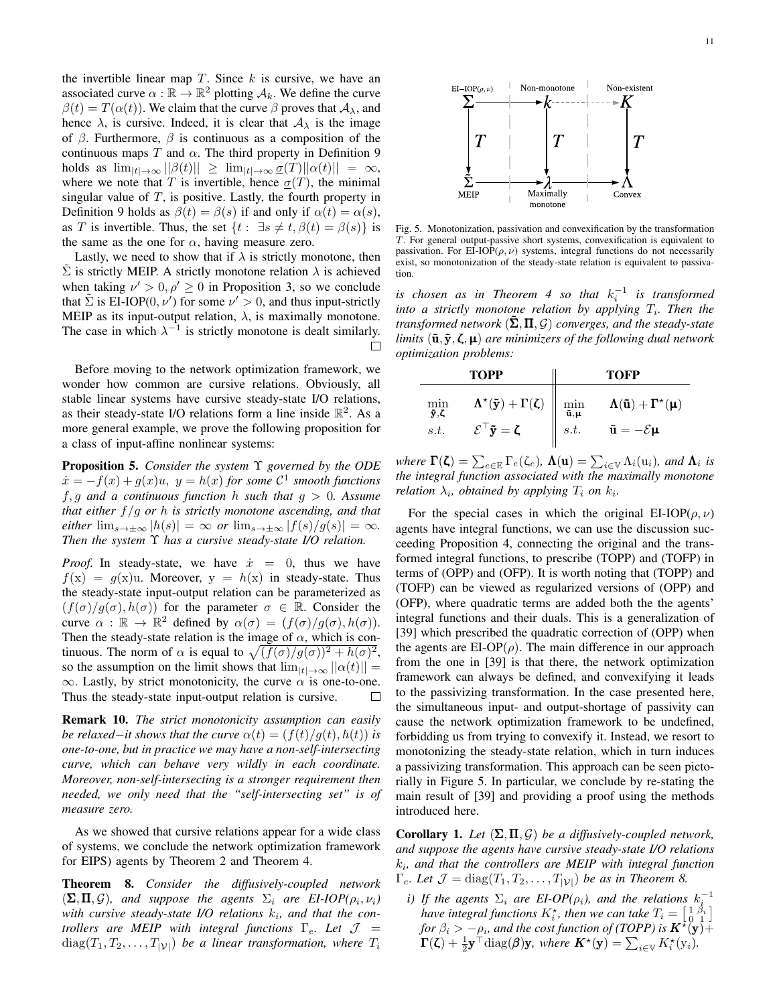the invertible linear map  $T$ . Since  $k$  is cursive, we have an associated curve  $\alpha : \mathbb{R} \to \mathbb{R}^2$  plotting  $\mathcal{A}_k$ . We define the curve  $\beta(t) = T(\alpha(t))$ . We claim that the curve  $\beta$  proves that  $\mathcal{A}_{\lambda}$ , and hence  $\lambda$ , is cursive. Indeed, it is clear that  $A_{\lambda}$  is the image of  $\beta$ . Furthermore,  $\beta$  is continuous as a composition of the continuous maps T and  $\alpha$ . The third property in Definition 9 holds as  $\lim_{|t|\to\infty}||\beta(t)|| \geq \lim_{|t|\to\infty} \underline{\sigma}(T)||\alpha(t)|| = \infty$ , where we note that T is invertible, hence  $\sigma(T)$ , the minimal singular value of  $T$ , is positive. Lastly, the fourth property in Definition 9 holds as  $\beta(t) = \beta(s)$  if and only if  $\alpha(t) = \alpha(s)$ , as T is invertible. Thus, the set  $\{t : \exists s \neq t, \beta(t) = \beta(s)\}\$ is the same as the one for  $\alpha$ , having measure zero.

Lastly, we need to show that if  $\lambda$  is strictly monotone, then  $\Sigma$  is strictly MEIP. A strictly monotone relation  $\lambda$  is achieved when taking  $\nu' > 0, \rho' \ge 0$  in Proposition 3, so we conclude that  $\tilde{\Sigma}$  is EI-IOP(0,  $\nu'$ ) for some  $\nu' > 0$ , and thus input-strictly MEIP as its input-output relation,  $\lambda$ , is maximally monotone. The case in which  $\lambda^{-1}$  is strictly monotone is dealt similarly.  $\Box$ 

Before moving to the network optimization framework, we wonder how common are cursive relations. Obviously, all stable linear systems have cursive steady-state I/O relations, as their steady-state I/O relations form a line inside  $\mathbb{R}^2$ . As a more general example, we prove the following proposition for a class of input-affine nonlinear systems:

Proposition 5. *Consider the system* Υ *governed by the ODE*  $\dot{x} = -f(x) + g(x)u$ ,  $y = h(x)$  for some  $C^1$  smooth functions f, g *and a continuous function* h *such that* g > 0*. Assume that either* f /g *or* h *is strictly monotone ascending, and that either*  $\lim_{s\to\pm\infty}$   $|h(s)| = \infty$  *or*  $\lim_{s\to\pm\infty}$   $|f(s)/g(s)| = \infty$ *. Then the system* Υ *has a cursive steady-state I/O relation.*

*Proof.* In steady-state, we have  $\dot{x} = 0$ , thus we have  $f(x) = g(x)u$ . Moreover,  $y = h(x)$  in steady-state. Thus the steady-state input-output relation can be parameterized as  $(f(\sigma)/g(\sigma), h(\sigma))$  for the parameter  $\sigma \in \mathbb{R}$ . Consider the curve  $\alpha : \mathbb{R} \to \mathbb{R}^2$  defined by  $\alpha(\sigma) = (f(\sigma)/g(\sigma), h(\sigma)).$ Then the steady-state relation is the image of  $\alpha$ , which is continuous. The norm of  $\alpha$  is equal to  $\sqrt{(f(\sigma)/g(\sigma))^2 + h(\sigma)^2}$ , so the assumption on the limit shows that  $\lim_{|t|\to\infty}||\alpha(t)||$  =  $\infty$ . Lastly, by strict monotonicity, the curve  $\alpha$  is one-to-one.<br>Thus the steady-state input-output relation is cursive Thus the steady-state input-output relation is cursive.

Remark 10. *The strict monotonicity assumption can easily be relaxed–it shows that the curve*  $\alpha(t) = (f(t)/g(t), h(t))$  *is one-to-one, but in practice we may have a non-self-intersecting curve, which can behave very wildly in each coordinate. Moreover, non-self-intersecting is a stronger requirement then needed, we only need that the "self-intersecting set" is of measure zero.*

As we showed that cursive relations appear for a wide class of systems, we conclude the network optimization framework for EIPS) agents by Theorem 2 and Theorem 4.

Theorem 8. *Consider the diffusively-coupled network*  $(\Sigma, \Pi, \mathcal{G})$ *, and suppose the agents*  $\Sigma_i$  *are EI-IOP(* $\rho_i, \nu_i$ *)* with cursive steady-state I/O relations  $k_i$ , and that the con*trollers are MEIP with integral functions*  $\Gamma_e$ *. Let*  $\mathcal{J}$  =  $diag(T_1, T_2, \ldots, T_{|\mathcal{V}|})$  *be a linear transformation, where*  $T_i$ 



Fig. 5. Monotonization, passivation and convexification by the transformation T. For general output-passive short systems, convexification is equivalent to passivation. For EI-IOP( $\rho$ ,  $\nu$ ) systems, integral functions do not necessarily exist, so monotonization of the steady-state relation is equivalent to passivation.

is chosen as in Theorem 4 so that  $k_i^{-1}$  is transformed into a strictly monotone relation by applying  $T_i$ . Then the *transformed network*  $(\Sigma, \Pi, \mathcal{G})$  *converges, and the steady-state limits*  $(\tilde{\mathbf{u}}, \tilde{\mathbf{y}}, \zeta, \mathbf{\mu})$  *are minimizers of the following dual network optimization problems:*

| <b>TOPP</b>                                                                                         |                                                                  | <b>TOFP</b>                                      |                                                                                               |  |
|-----------------------------------------------------------------------------------------------------|------------------------------------------------------------------|--------------------------------------------------|-----------------------------------------------------------------------------------------------|--|
| $\min_{\mathbf{\tilde{y}},\mathbf{\zeta}}$<br>$\mathcal{E}^\top \tilde{\mathbf{y}} = \zeta$<br>s.t. | $\pmb{\Lambda}^\star(\pmb{\tilde{y}})+\pmb{\Gamma}(\pmb{\zeta})$ | $\min_{\mathbf{\tilde{u}},\mathbf{\mu}}$<br>s.t. | $\Lambda(\tilde{u}) + \Gamma^{\star}(\mu)$<br>$\tilde{\mathbf{u}} = -\mathcal{E}\mathbf{\mu}$ |  |

*where*  $\Gamma(\zeta) = \sum_{e \in \mathbb{E}} \Gamma_e(\zeta_e)$ ,  $\Lambda(\mathbf{u}) = \sum_{i \in \mathbb{V}} \Lambda_i(\mathbf{u}_i)$ , and  $\Lambda_i$  is *the integral function associated with the maximally monotone relation*  $\lambda_i$ , *obtained by applying*  $T_i$  *on*  $k_i$ .

For the special cases in which the original EI-IOP( $\rho, \nu$ ) agents have integral functions, we can use the discussion succeeding Proposition 4, connecting the original and the transformed integral functions, to prescribe (TOPP) and (TOFP) in terms of (OPP) and (OFP). It is worth noting that (TOPP) and (TOFP) can be viewed as regularized versions of (OPP) and (OFP), where quadratic terms are added both the the agents' integral functions and their duals. This is a generalization of [39] which prescribed the quadratic correction of (OPP) when the agents are  $EI-OP(\rho)$ . The main difference in our approach from the one in [39] is that there, the network optimization framework can always be defined, and convexifying it leads to the passivizing transformation. In the case presented here, the simultaneous input- and output-shortage of passivity can cause the network optimization framework to be undefined, forbidding us from trying to convexify it. Instead, we resort to monotonizing the steady-state relation, which in turn induces a passivizing transformation. This approach can be seen pictorially in Figure 5. In particular, we conclude by re-stating the main result of [39] and providing a proof using the methods introduced here.

Corollary 1. *Let*  $(\Sigma, \Pi, \mathcal{G})$  *be a diffusively-coupled network, and suppose the agents have cursive steady-state I/O relations*  $k_i$ , and that the controllers are MEIP with integral function  $\Gamma_e$ *. Let*  $\mathcal{J} = \text{diag}(T_1, T_2, \dots, T_{|\mathcal{V}|})$  *be as in Theorem 8.* 

*i)* If the agents  $\Sigma_i$  are EI-OP( $\rho_i$ ), and the relations  $k_i^{-1}$ *have integral functions*  $K_i^*$ *, then we can take*  $T_i = \begin{bmatrix} 1 & \beta_i \\ 0 & 1 \end{bmatrix}$ *for*  $\beta_i > -\rho_i$ *, and the cost function of (TOPP) is*  $K^*(y) +$  $\Gamma(\zeta) + \frac{1}{2} \mathbf{y}^\top \text{diag}(\boldsymbol{\beta}) \mathbf{y}$ , where  $\mathbf{K}^{\star}(\mathbf{y}) = \sum_{i \in \mathbb{V}} K_i^{\star}(\mathbf{y}_i)$ .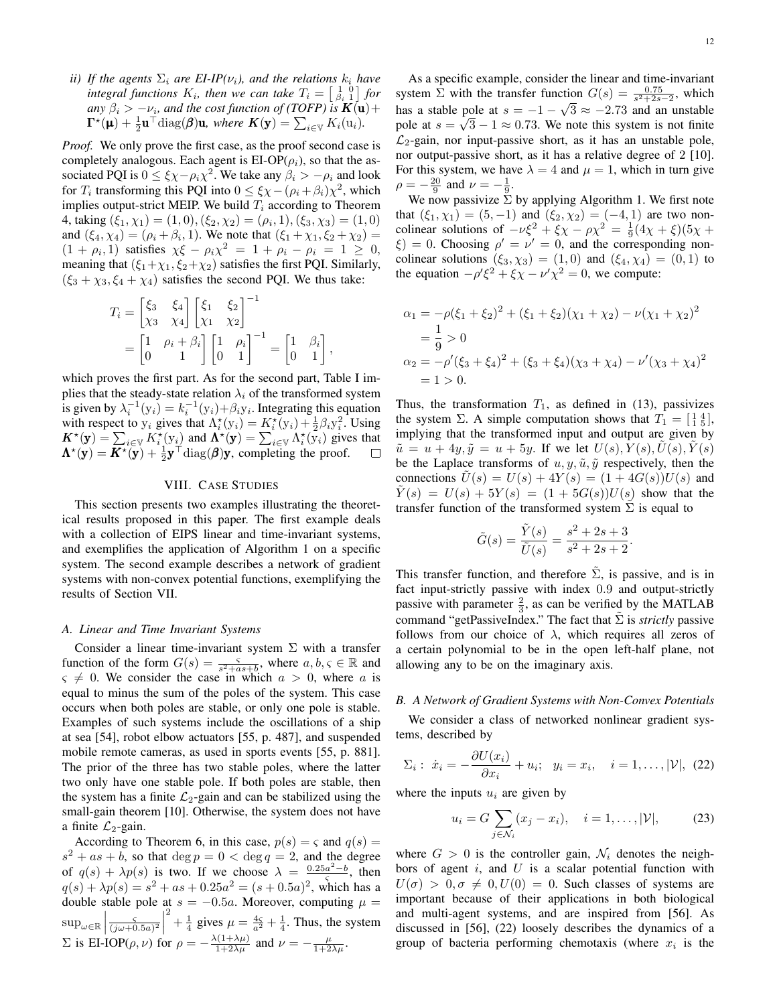*ii)* If the agents  $\Sigma_i$  are EI-IP( $\nu_i$ ), and the relations  $k_i$  have *integral functions*  $K_i$ , then we can take  $T_i = \begin{bmatrix} 1 & 0 \\ \beta_i & 1 \end{bmatrix}$  for  $a_n$   $\beta_i$  >  $-\nu_i$ , and the cost function of (TOFP) is  $K(\mathbf{u}) +$  $\mathbf{\Gamma}^{\star}(\mathbf{\mu}) + \frac{1}{2}\mathbf{u}^{\top} \text{diag}(\boldsymbol{\beta})\mathbf{u}$ , where  $\mathbf{K}(\mathbf{y}) = \sum_{i \in \mathbb{V}} K_i(\mathbf{u}_i)$ .

*Proof.* We only prove the first case, as the proof second case is completely analogous. Each agent is  $E I-OP(\rho_i)$ , so that the associated PQI is  $0 \le \xi \chi - \rho_i \chi^2$ . We take any  $\beta_i > -\rho_i$  and look for  $T_i$  transforming this PQI into  $0 \le \xi \chi - (\rho_i + \beta_i) \chi^2$ , which implies output-strict MEIP. We build  $T_i$  according to Theorem 4, taking  $(\xi_1, \chi_1) = (1, 0), (\xi_2, \chi_2) = (\rho_i, 1), (\xi_3, \chi_3) = (1, 0)$ and  $(\xi_4, \chi_4) = (\rho_i + \beta_i, 1)$ . We note that  $(\xi_1 + \chi_1, \xi_2 + \chi_2) =$  $(1 + \rho_i, 1)$  satisfies  $\chi \xi - \rho_i \chi^2 = 1 + \rho_i - \rho_i = 1 \geq 0$ , meaning that  $(\xi_1+\chi_1, \xi_2+\chi_2)$  satisfies the first PQI. Similarly,  $(\xi_3 + \chi_3, \xi_4 + \chi_4)$  satisfies the second PQI. We thus take:

$$
T_i = \begin{bmatrix} \xi_3 & \xi_4 \\ \chi_3 & \chi_4 \end{bmatrix} \begin{bmatrix} \xi_1 & \xi_2 \\ \chi_1 & \chi_2 \end{bmatrix}^{-1}
$$
  
= 
$$
\begin{bmatrix} 1 & \rho_i + \beta_i \\ 0 & 1 \end{bmatrix} \begin{bmatrix} 1 & \rho_i \\ 0 & 1 \end{bmatrix}^{-1} = \begin{bmatrix} 1 & \beta_i \\ 0 & 1 \end{bmatrix},
$$

which proves the first part. As for the second part, Table I implies that the steady-state relation  $\lambda_i$  of the transformed system is given by  $\lambda_i^{-1}(y_i) = k_i^{-1}(y_i) + \beta_i y_i$ . Integrating this equation with respect to  $y_i$  gives that  $\Lambda_i^*(y_i) = K_i^*(y_i) + \frac{1}{2}\beta_i y_i^2$ . Using  $\mathbf{K}^{\star}(\mathbf{y}) = \sum_{i \in \mathbb{V}} K_{i}^{\star}(y_{i})$  and  $\mathbf{\Lambda}^{\star}(\mathbf{y}) = \sum_{i \in \mathbb{V}} \Lambda_{i}^{\star}(\tilde{\mathbf{y}}_{i})$  gives that  $\mathbf{\Lambda}^{\star}(\mathbf{y}) = \mathbf{K}^{\star}(\mathbf{\bar{y}}) + \frac{1}{2}\mathbf{y}^{\top} \text{diag}(\boldsymbol{\beta})\mathbf{y}$ , completing the proof.  $\Box$ 

## VIII. CASE STUDIES

This section presents two examples illustrating the theoretical results proposed in this paper. The first example deals with a collection of EIPS linear and time-invariant systems, and exemplifies the application of Algorithm 1 on a specific system. The second example describes a network of gradient systems with non-convex potential functions, exemplifying the results of Section VII.

#### *A. Linear and Time Invariant Systems*

Consider a linear time-invariant system  $\Sigma$  with a transfer function of the form  $G(s) = \frac{s}{s^2 + as + b}$ , where  $a, b, s \in \mathbb{R}$  and  $\varsigma \neq 0$ . We consider the case in which  $a > 0$ , where a is equal to minus the sum of the poles of the system. This case occurs when both poles are stable, or only one pole is stable. Examples of such systems include the oscillations of a ship at sea [54], robot elbow actuators [55, p. 487], and suspended mobile remote cameras, as used in sports events [55, p. 881]. The prior of the three has two stable poles, where the latter two only have one stable pole. If both poles are stable, then the system has a finite  $\mathcal{L}_2$ -gain and can be stabilized using the small-gain theorem [10]. Otherwise, the system does not have a finite  $\mathcal{L}_2$ -gain.

According to Theorem 6, in this case,  $p(s) = \varsigma$  and  $q(s) =$  $s^2 + as + b$ , so that  $\deg p = 0 < \deg q = 2$ , and the degree of  $q(s) + \lambda p(s)$  is two. If we choose  $\lambda = \frac{0.25a^2 - b}{s}$ , then  $q(s) + \lambda p(s) = s^2 + as + 0.25a^2 = (s + 0.5a)^2$ , which has a double stable pole at  $s = -0.5a$ . Moreover, computing  $\mu =$  $sup_{\omega \in \mathbb{R}}$  $\frac{5}{(j\omega+0.5a)^2}$  $\mu^2 + \frac{1}{4}$  gives  $\mu = \frac{4\varsigma}{a^2} + \frac{1}{4}$ . Thus, the system  $\Sigma$  is EI-IOP( $\rho$ ,  $\nu$ ) for  $\rho = -\frac{\lambda(1+\lambda\mu)}{1+2\lambda\mu}$  and  $\nu = -\frac{\mu}{1+2\lambda\mu}$ .

As a specific example, consider the linear and time-invariant system  $\Sigma$  with the transfer function  $G(s) = \frac{0.75}{s^2 + 2s - 2}$ , which has a stable pole at  $s = -1 - \sqrt{3} \approx -2.73$  and an unstable pole at  $s = \sqrt{3} - 1 \approx 0.73$ . We note this system is not finite  $\mathcal{L}_2$ -gain, nor input-passive short, as it has an unstable pole, nor output-passive short, as it has a relative degree of 2 [10]. For this system, we have  $\lambda = 4$  and  $\mu = 1$ , which in turn give  $\rho = -\frac{20}{9}$  and  $\nu = -\frac{1}{9}$ .

We now passivize  $\Sigma$  by applying Algorithm 1. We first note that  $(\xi_1, \chi_1) = (5, -1)$  and  $(\xi_2, \chi_2) = (-4, 1)$  are two noncolinear solutions of  $-\nu\xi^2 + \xi\chi - \rho\chi^2 = \frac{1}{9}(4\chi + \xi)(5\chi + \chi)$  $\xi$ ) = 0. Choosing  $\rho' = \nu' = 0$ , and the corresponding noncolinear solutions  $(\xi_3, \chi_3) = (1, 0)$  and  $(\xi_4, \chi_4) = (0, 1)$  to the equation  $-\rho' \xi^2 + \xi \chi - \nu' \chi^2 = 0$ , we compute:

$$
\alpha_1 = -\rho(\xi_1 + \xi_2)^2 + (\xi_1 + \xi_2)(\chi_1 + \chi_2) - \nu(\chi_1 + \chi_2)^2
$$
  
=  $\frac{1}{9} > 0$   

$$
\alpha_2 = -\rho'(\xi_3 + \xi_4)^2 + (\xi_3 + \xi_4)(\chi_3 + \chi_4) - \nu'(\chi_3 + \chi_4)^2
$$
  
= 1 > 0.

Thus, the transformation  $T_1$ , as defined in (13), passivizes the system  $\Sigma$ . A simple computation shows that  $T_1 = \begin{bmatrix} 1 & 4 \\ 1 & 5 \end{bmatrix}$ , implying that the transformed input and output are given by  $\tilde{u} = u + 4y, \tilde{y} = u + 5y$ . If we let  $U(s)$ ,  $Y(s)$ ,  $U(s)$ ,  $Y(s)$ be the Laplace transforms of  $u, y, \tilde{u}, \tilde{y}$  respectively, then the connections  $U(s) = U(s) + 4Y(s) = (1 + 4G(s))U(s)$  and  $\tilde{Y}(s) = U(s) + 5Y(s) = (1 + 5G(s))U(s)$  show that the transfer function of the transformed system  $\Sigma$  is equal to

$$
\tilde{G}(s) = \frac{\tilde{Y}(s)}{\tilde{U}(s)} = \frac{s^2 + 2s + 3}{s^2 + 2s + 2}.
$$

This transfer function, and therefore  $\tilde{\Sigma}$ , is passive, and is in fact input-strictly passive with index 0.9 and output-strictly passive with parameter  $\frac{2}{3}$ , as can be verified by the MATLAB command "getPassiveIndex." The fact that  $\tilde{\Sigma}$  is *strictly* passive follows from our choice of  $\lambda$ , which requires all zeros of a certain polynomial to be in the open left-half plane, not allowing any to be on the imaginary axis.

## *B. A Network of Gradient Systems with Non-Convex Potentials*

We consider a class of networked nonlinear gradient systems, described by

$$
\Sigma_i: \dot{x}_i = -\frac{\partial U(x_i)}{\partial x_i} + u_i; \quad y_i = x_i, \quad i = 1, \dots, |\mathcal{V}|, \tag{22}
$$

where the inputs  $u_i$  are given by

$$
u_i = G \sum_{j \in \mathcal{N}_i} (x_j - x_i), \quad i = 1, ..., |\mathcal{V}|,
$$
 (23)

where  $G > 0$  is the controller gain,  $\mathcal{N}_i$  denotes the neighbors of agent  $i$ , and  $U$  is a scalar potential function with  $U(\sigma) > 0, \sigma \neq 0, U(0) = 0$ . Such classes of systems are important because of their applications in both biological and multi-agent systems, and are inspired from [56]. As discussed in [56], (22) loosely describes the dynamics of a group of bacteria performing chemotaxis (where  $x_i$  is the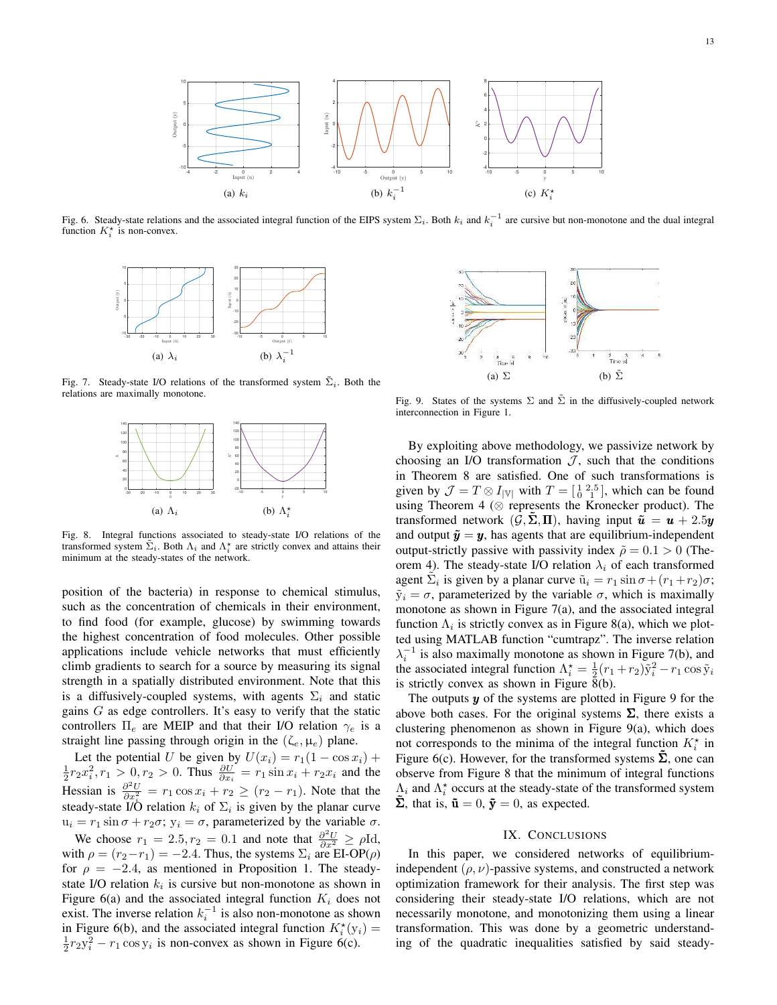

Fig. 6. Steady-state relations and the associated integral function of the EIPS system  $\Sigma_i$ . Both  $k_i$  and  $k_i^{-1}$  are cursive but non-monotone and the dual integral function  $K_i^*$  is non-convex.



Fig. 7. Steady-state I/O relations of the transformed system  $\tilde{\Sigma}_i$ . Both the relations are maximally monotone.



Fig. 8. Integral functions associated to steady-state I/O relations of the transformed system  $\tilde{\Sigma}_i$ . Both  $\Lambda_i$  and  $\Lambda_i^*$  are strictly convex and attains their minimum at the steady-states of the network.

position of the bacteria) in response to chemical stimulus, such as the concentration of chemicals in their environment, to find food (for example, glucose) by swimming towards the highest concentration of food molecules. Other possible applications include vehicle networks that must efficiently climb gradients to search for a source by measuring its signal strength in a spatially distributed environment. Note that this is a diffusively-coupled systems, with agents  $\Sigma_i$  and static gains  $G$  as edge controllers. It's easy to verify that the static controllers  $\Pi_e$  are MEIP and that their I/O relation  $\gamma_e$  is a straight line passing through origin in the  $(\zeta_e, \mu_e)$  plane.

Let the potential U be given by  $U(x_i) = r_1(1 - \cos x_i) + \frac{1}{2}r_2x_i^2, r_1 > 0, r_2 > 0$ . Thus  $\frac{\partial U}{\partial x_i} = r_1 \sin x_i + r_2x_i$  and the Hessian is  $\frac{\partial^2 U}{\partial x_i^2} = r_1 \cos x_i + r_2 \ge (r_2 - r_1)$ . Note that the steady-state I/Ö relation  $k_i$  of  $\Sigma_i$  is given by the planar curve  $u_i = r_1 \sin \sigma + r_2 \sigma$ ;  $y_i = \sigma$ , parameterized by the variable  $\sigma$ .

We choose  $r_1 = 2.5, r_2 = 0.1$  and note that  $\frac{\partial^2 U}{\partial x^2} \ge \rho \text{Id}$ , with  $\rho = (r_2 - r_1) = -2.4$ . Thus, the systems  $\Sigma_i$  are EI-OP( $\rho$ ) for  $\rho = -2.4$ , as mentioned in Proposition 1. The steadystate I/O relation  $k_i$  is cursive but non-monotone as shown in Figure 6(a) and the associated integral function  $K_i$  does not exist. The inverse relation  $k_i^{-1}$  is also non-monotone as shown in Figure 6(b), and the associated integral function  $K_i^*(y_i) =$  $\frac{1}{2}r_2y_i^2 - r_1 \cos y_i$  is non-convex as shown in Figure 6(c).



Fig. 9. States of the systems  $\Sigma$  and  $\tilde{\Sigma}$  in the diffusively-coupled network interconnection in Figure 1.

By exploiting above methodology, we passivize network by choosing an I/O transformation  $J$ , such that the conditions in Theorem 8 are satisfied. One of such transformations is given by  $\mathcal{J} = T \otimes I_{|\mathbb{V}|}$  with  $T = \begin{bmatrix} 1 & 2 & 5 \\ 0 & 1 & 1 \end{bmatrix}$ , which can be found using Theorem 4 ( $\otimes$  represents the Kronecker product). The transformed network  $(\mathcal{G}, \Sigma, \Pi)$ , having input  $\tilde{u} = u + 2.5y$ and output  $\tilde{y} = y$ , has agents that are equilibrium-independent output-strictly passive with passivity index  $\tilde{\rho} = 0.1 > 0$  (Theorem 4). The steady-state I/O relation  $\lambda_i$  of each transformed agent  $\tilde{\Sigma}_i$  is given by a planar curve  $\tilde{u}_i = r_1 \sin \sigma + (r_1 + r_2) \sigma$ ;  $\tilde{y}_i = \sigma$ , parameterized by the variable  $\sigma$ , which is maximally monotone as shown in Figure 7(a), and the associated integral function  $\Lambda_i$  is strictly convex as in Figure 8(a), which we plotted using MATLAB function "cumtrapz". The inverse relation  $\lambda_i^{-1}$  is also maximally monotone as shown in Figure 7(b), and the associated integral function  $\Lambda_i^* = \frac{1}{2}(r_1 + r_2)\tilde{y}_i^2 - r_1 \cos \tilde{y}_i$ is strictly convex as shown in Figure  $\bar{8}$ (b).

The outputs  $y$  of the systems are plotted in Figure 9 for the above both cases. For the original systems  $\Sigma$ , there exists a clustering phenomenon as shown in Figure 9(a), which does not corresponds to the minima of the integral function  $K_i^*$  in Figure 6(c). However, for the transformed systems  $\hat{\Sigma}$ , one can observe from Figure 8 that the minimum of integral functions  $\Lambda_i$  and  $\Lambda_i^*$  occurs at the steady-state of the transformed system  $\tilde{\Sigma}$ , that is,  $\tilde{\mathbf{u}} = 0$ ,  $\tilde{\mathbf{y}} = 0$ , as expected.

## IX. CONCLUSIONS

In this paper, we considered networks of equilibriumindependent  $(\rho, \nu)$ -passive systems, and constructed a network optimization framework for their analysis. The first step was considering their steady-state I/O relations, which are not necessarily monotone, and monotonizing them using a linear transformation. This was done by a geometric understanding of the quadratic inequalities satisfied by said steady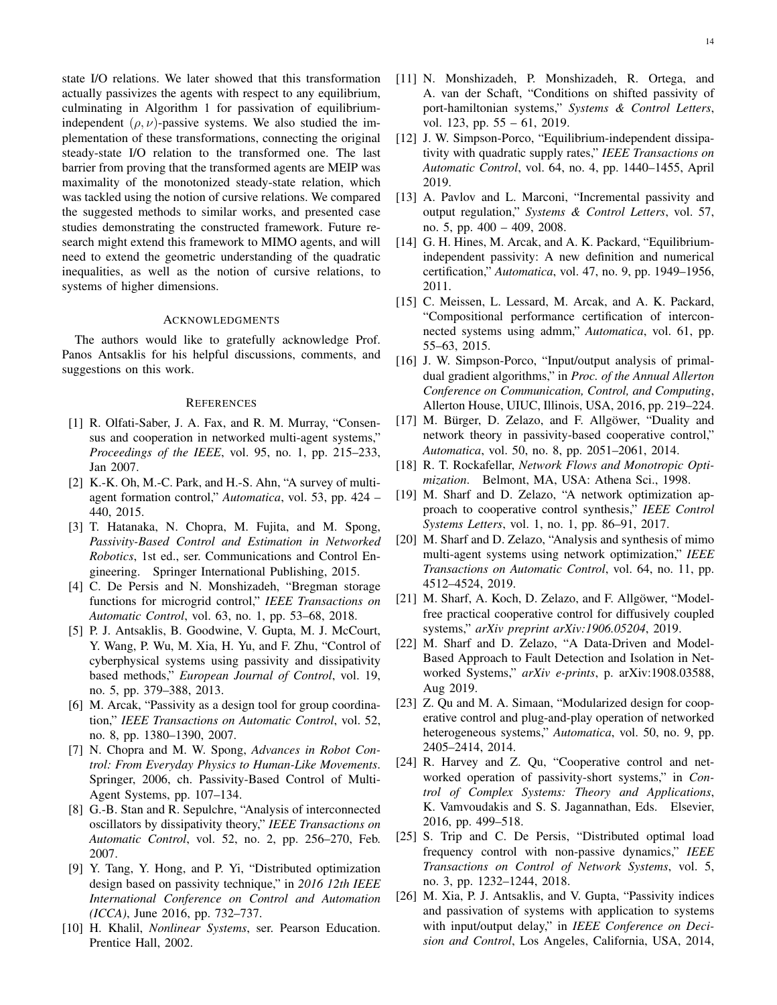state I/O relations. We later showed that this transformation actually passivizes the agents with respect to any equilibrium, culminating in Algorithm 1 for passivation of equilibriumindependent  $(\rho, \nu)$ -passive systems. We also studied the implementation of these transformations, connecting the original steady-state I/O relation to the transformed one. The last barrier from proving that the transformed agents are MEIP was maximality of the monotonized steady-state relation, which was tackled using the notion of cursive relations. We compared the suggested methods to similar works, and presented case studies demonstrating the constructed framework. Future research might extend this framework to MIMO agents, and will need to extend the geometric understanding of the quadratic inequalities, as well as the notion of cursive relations, to systems of higher dimensions.

#### ACKNOWLEDGMENTS

The authors would like to gratefully acknowledge Prof. Panos Antsaklis for his helpful discussions, comments, and suggestions on this work.

## **REFERENCES**

- [1] R. Olfati-Saber, J. A. Fax, and R. M. Murray, "Consensus and cooperation in networked multi-agent systems," *Proceedings of the IEEE*, vol. 95, no. 1, pp. 215–233, Jan 2007.
- [2] K.-K. Oh, M.-C. Park, and H.-S. Ahn, "A survey of multiagent formation control," *Automatica*, vol. 53, pp. 424 – 440, 2015.
- [3] T. Hatanaka, N. Chopra, M. Fujita, and M. Spong, *Passivity-Based Control and Estimation in Networked Robotics*, 1st ed., ser. Communications and Control Engineering. Springer International Publishing, 2015.
- [4] C. De Persis and N. Monshizadeh, "Bregman storage functions for microgrid control," *IEEE Transactions on Automatic Control*, vol. 63, no. 1, pp. 53–68, 2018.
- [5] P. J. Antsaklis, B. Goodwine, V. Gupta, M. J. McCourt, Y. Wang, P. Wu, M. Xia, H. Yu, and F. Zhu, "Control of cyberphysical systems using passivity and dissipativity based methods," *European Journal of Control*, vol. 19, no. 5, pp. 379–388, 2013.
- [6] M. Arcak, "Passivity as a design tool for group coordination," *IEEE Transactions on Automatic Control*, vol. 52, no. 8, pp. 1380–1390, 2007.
- [7] N. Chopra and M. W. Spong, *Advances in Robot Control: From Everyday Physics to Human-Like Movements*. Springer, 2006, ch. Passivity-Based Control of Multi-Agent Systems, pp. 107–134.
- [8] G.-B. Stan and R. Sepulchre, "Analysis of interconnected oscillators by dissipativity theory," *IEEE Transactions on Automatic Control*, vol. 52, no. 2, pp. 256–270, Feb. 2007.
- [9] Y. Tang, Y. Hong, and P. Yi, "Distributed optimization design based on passivity technique," in *2016 12th IEEE International Conference on Control and Automation (ICCA)*, June 2016, pp. 732–737.
- [10] H. Khalil, *Nonlinear Systems*, ser. Pearson Education. Prentice Hall, 2002.
- [11] N. Monshizadeh, P. Monshizadeh, R. Ortega, and A. van der Schaft, "Conditions on shifted passivity of port-hamiltonian systems," *Systems & Control Letters*, vol. 123, pp. 55 – 61, 2019.
- [12] J. W. Simpson-Porco, "Equilibrium-independent dissipativity with quadratic supply rates," *IEEE Transactions on Automatic Control*, vol. 64, no. 4, pp. 1440–1455, April 2019.
- [13] A. Pavlov and L. Marconi, "Incremental passivity and output regulation," *Systems & Control Letters*, vol. 57, no. 5, pp. 400 – 409, 2008.
- [14] G. H. Hines, M. Arcak, and A. K. Packard, "Equilibriumindependent passivity: A new definition and numerical certification," *Automatica*, vol. 47, no. 9, pp. 1949–1956, 2011.
- [15] C. Meissen, L. Lessard, M. Arcak, and A. K. Packard, "Compositional performance certification of interconnected systems using admm," *Automatica*, vol. 61, pp. 55–63, 2015.
- [16] J. W. Simpson-Porco, "Input/output analysis of primaldual gradient algorithms," in *Proc. of the Annual Allerton Conference on Communication, Control, and Computing*, Allerton House, UIUC, Illinois, USA, 2016, pp. 219–224.
- [17] M. Bürger, D. Zelazo, and F. Allgöwer, "Duality and network theory in passivity-based cooperative control," *Automatica*, vol. 50, no. 8, pp. 2051–2061, 2014.
- [18] R. T. Rockafellar, *Network Flows and Monotropic Optimization*. Belmont, MA, USA: Athena Sci., 1998.
- [19] M. Sharf and D. Zelazo, "A network optimization approach to cooperative control synthesis," *IEEE Control Systems Letters*, vol. 1, no. 1, pp. 86–91, 2017.
- [20] M. Sharf and D. Zelazo, "Analysis and synthesis of mimo multi-agent systems using network optimization," *IEEE Transactions on Automatic Control*, vol. 64, no. 11, pp. 4512–4524, 2019.
- [21] M. Sharf, A. Koch, D. Zelazo, and F. Allgöwer, "Modelfree practical cooperative control for diffusively coupled systems," *arXiv preprint arXiv:1906.05204*, 2019.
- [22] M. Sharf and D. Zelazo, "A Data-Driven and Model-Based Approach to Fault Detection and Isolation in Networked Systems," *arXiv e-prints*, p. arXiv:1908.03588, Aug 2019.
- [23] Z. Qu and M. A. Simaan, "Modularized design for cooperative control and plug-and-play operation of networked heterogeneous systems," *Automatica*, vol. 50, no. 9, pp. 2405–2414, 2014.
- [24] R. Harvey and Z. Qu, "Cooperative control and networked operation of passivity-short systems," in *Control of Complex Systems: Theory and Applications*, K. Vamvoudakis and S. S. Jagannathan, Eds. Elsevier, 2016, pp. 499–518.
- [25] S. Trip and C. De Persis, "Distributed optimal load frequency control with non-passive dynamics," *IEEE Transactions on Control of Network Systems*, vol. 5, no. 3, pp. 1232–1244, 2018.
- [26] M. Xia, P. J. Antsaklis, and V. Gupta, "Passivity indices and passivation of systems with application to systems with input/output delay," in *IEEE Conference on Decision and Control*, Los Angeles, California, USA, 2014,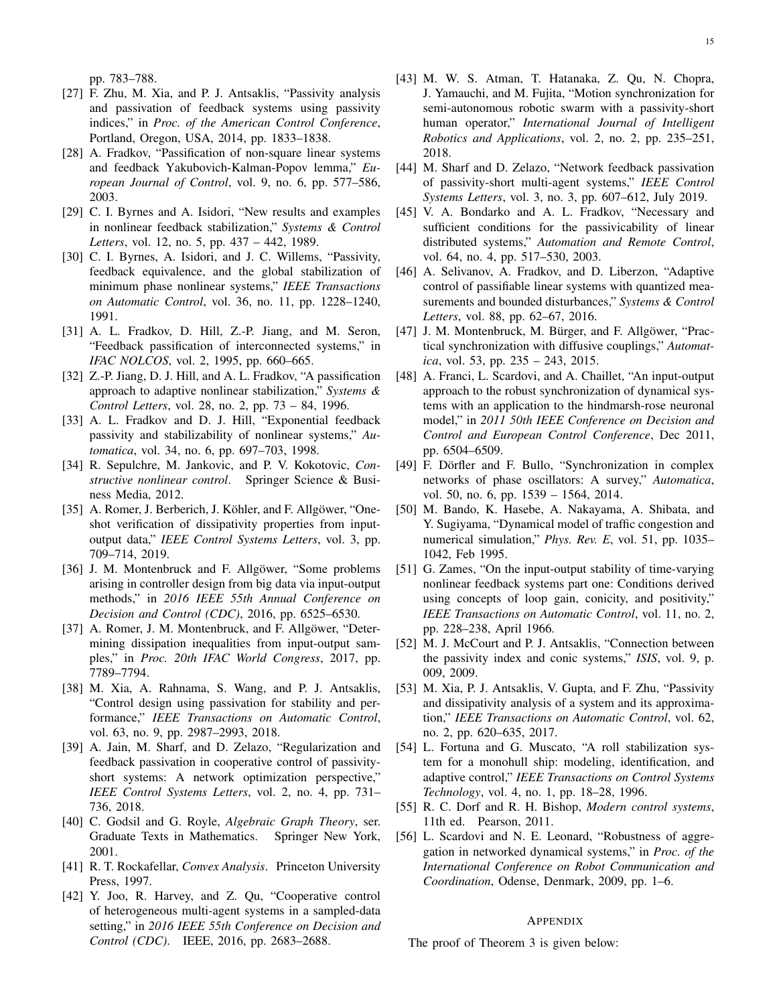pp. 783–788.

- [27] F. Zhu, M. Xia, and P. J. Antsaklis, "Passivity analysis and passivation of feedback systems using passivity indices," in *Proc. of the American Control Conference*, Portland, Oregon, USA, 2014, pp. 1833–1838.
- [28] A. Fradkov, "Passification of non-square linear systems and feedback Yakubovich-Kalman-Popov lemma," *European Journal of Control*, vol. 9, no. 6, pp. 577–586, 2003.
- [29] C. I. Byrnes and A. Isidori, "New results and examples in nonlinear feedback stabilization," *Systems & Control Letters*, vol. 12, no. 5, pp. 437 – 442, 1989.
- [30] C. I. Byrnes, A. Isidori, and J. C. Willems, "Passivity, feedback equivalence, and the global stabilization of minimum phase nonlinear systems," *IEEE Transactions on Automatic Control*, vol. 36, no. 11, pp. 1228–1240, 1991.
- [31] A. L. Fradkov, D. Hill, Z.-P. Jiang, and M. Seron, "Feedback passification of interconnected systems," in *IFAC NOLCOS*, vol. 2, 1995, pp. 660–665.
- [32] Z.-P. Jiang, D. J. Hill, and A. L. Fradkov, "A passification approach to adaptive nonlinear stabilization," *Systems & Control Letters*, vol. 28, no. 2, pp. 73 – 84, 1996.
- [33] A. L. Fradkov and D. J. Hill, "Exponential feedback passivity and stabilizability of nonlinear systems," *Automatica*, vol. 34, no. 6, pp. 697–703, 1998.
- [34] R. Sepulchre, M. Jankovic, and P. V. Kokotovic, *Constructive nonlinear control*. Springer Science & Business Media, 2012.
- [35] A. Romer, J. Berberich, J. Köhler, and F. Allgöwer, "Oneshot verification of dissipativity properties from inputoutput data," *IEEE Control Systems Letters*, vol. 3, pp. 709–714, 2019.
- [36] J. M. Montenbruck and F. Allgöwer, "Some problems arising in controller design from big data via input-output methods," in *2016 IEEE 55th Annual Conference on Decision and Control (CDC)*, 2016, pp. 6525–6530.
- [37] A. Romer, J. M. Montenbruck, and F. Allgöwer, "Determining dissipation inequalities from input-output samples," in *Proc. 20th IFAC World Congress*, 2017, pp. 7789–7794.
- [38] M. Xia, A. Rahnama, S. Wang, and P. J. Antsaklis, "Control design using passivation for stability and performance," *IEEE Transactions on Automatic Control*, vol. 63, no. 9, pp. 2987–2993, 2018.
- [39] A. Jain, M. Sharf, and D. Zelazo, "Regularization and feedback passivation in cooperative control of passivityshort systems: A network optimization perspective," *IEEE Control Systems Letters*, vol. 2, no. 4, pp. 731– 736, 2018.
- [40] C. Godsil and G. Royle, *Algebraic Graph Theory*, ser. Graduate Texts in Mathematics. Springer New York, 2001.
- [41] R. T. Rockafellar, *Convex Analysis*. Princeton University Press, 1997.
- [42] Y. Joo, R. Harvey, and Z. Qu, "Cooperative control of heterogeneous multi-agent systems in a sampled-data setting," in *2016 IEEE 55th Conference on Decision and Control (CDC)*. IEEE, 2016, pp. 2683–2688.
- [43] M. W. S. Atman, T. Hatanaka, Z. Qu, N. Chopra, J. Yamauchi, and M. Fujita, "Motion synchronization for semi-autonomous robotic swarm with a passivity-short human operator," *International Journal of Intelligent Robotics and Applications*, vol. 2, no. 2, pp. 235–251, 2018.
- [44] M. Sharf and D. Zelazo, "Network feedback passivation of passivity-short multi-agent systems," *IEEE Control Systems Letters*, vol. 3, no. 3, pp. 607–612, July 2019.
- [45] V. A. Bondarko and A. L. Fradkov, "Necessary and sufficient conditions for the passivicability of linear distributed systems," *Automation and Remote Control*, vol. 64, no. 4, pp. 517–530, 2003.
- [46] A. Selivanov, A. Fradkov, and D. Liberzon, "Adaptive control of passifiable linear systems with quantized measurements and bounded disturbances," *Systems & Control Letters*, vol. 88, pp. 62–67, 2016.
- [47] J. M. Montenbruck, M. Bürger, and F. Allgöwer, "Practical synchronization with diffusive couplings," *Automatica*, vol. 53, pp. 235 – 243, 2015.
- [48] A. Franci, L. Scardovi, and A. Chaillet, "An input-output approach to the robust synchronization of dynamical systems with an application to the hindmarsh-rose neuronal model," in *2011 50th IEEE Conference on Decision and Control and European Control Conference*, Dec 2011, pp. 6504–6509.
- [49] F. Dörfler and F. Bullo, "Synchronization in complex networks of phase oscillators: A survey," *Automatica*, vol. 50, no. 6, pp. 1539 – 1564, 2014.
- [50] M. Bando, K. Hasebe, A. Nakayama, A. Shibata, and Y. Sugiyama, "Dynamical model of traffic congestion and numerical simulation," *Phys. Rev. E*, vol. 51, pp. 1035– 1042, Feb 1995.
- [51] G. Zames, "On the input-output stability of time-varying nonlinear feedback systems part one: Conditions derived using concepts of loop gain, conicity, and positivity," *IEEE Transactions on Automatic Control*, vol. 11, no. 2, pp. 228–238, April 1966.
- [52] M. J. McCourt and P. J. Antsaklis, "Connection between the passivity index and conic systems," *ISIS*, vol. 9, p. 009, 2009.
- [53] M. Xia, P. J. Antsaklis, V. Gupta, and F. Zhu, "Passivity and dissipativity analysis of a system and its approximation," *IEEE Transactions on Automatic Control*, vol. 62, no. 2, pp. 620–635, 2017.
- [54] L. Fortuna and G. Muscato, "A roll stabilization system for a monohull ship: modeling, identification, and adaptive control," *IEEE Transactions on Control Systems Technology*, vol. 4, no. 1, pp. 18–28, 1996.
- [55] R. C. Dorf and R. H. Bishop, *Modern control systems*, 11th ed. Pearson, 2011.
- [56] L. Scardovi and N. E. Leonard, "Robustness of aggregation in networked dynamical systems," in *Proc. of the International Conference on Robot Communication and Coordination*, Odense, Denmark, 2009, pp. 1–6.

## **APPENDIX**